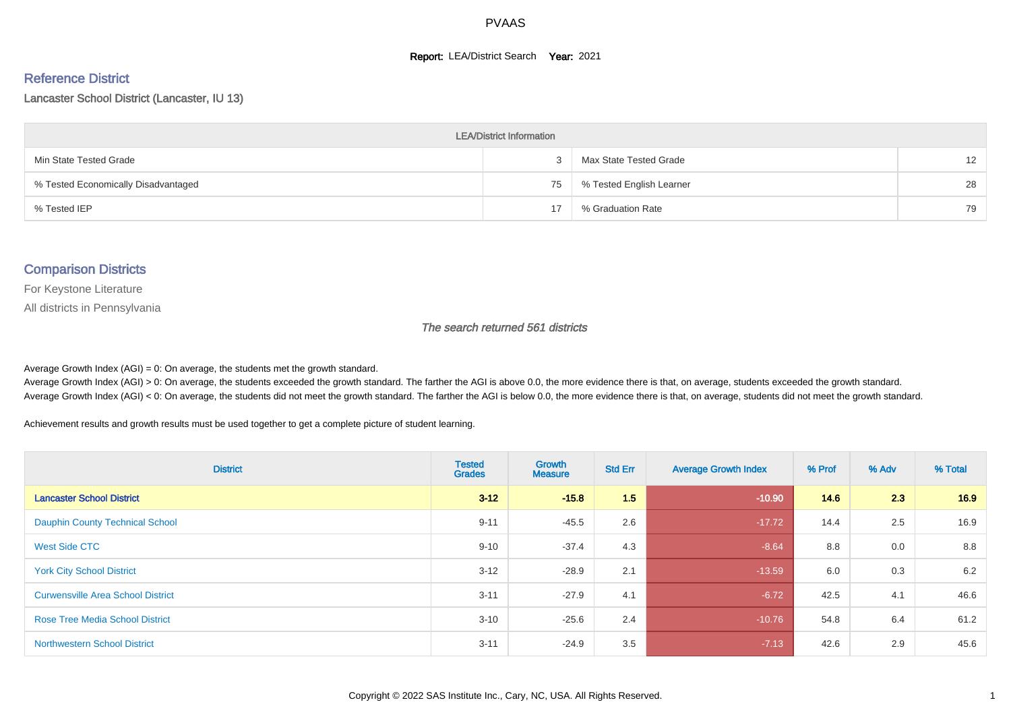#### **Report: LEA/District Search Year: 2021**

# Reference District

Lancaster School District (Lancaster, IU 13)

| <b>LEA/District Information</b>     |    |                          |                   |  |  |  |  |  |  |
|-------------------------------------|----|--------------------------|-------------------|--|--|--|--|--|--|
| Min State Tested Grade              |    | Max State Tested Grade   | $12 \overline{ }$ |  |  |  |  |  |  |
| % Tested Economically Disadvantaged | 75 | % Tested English Learner | 28                |  |  |  |  |  |  |
| % Tested IEP                        | 17 | % Graduation Rate        | 79                |  |  |  |  |  |  |

#### Comparison Districts

For Keystone Literature

All districts in Pennsylvania

The search returned 561 districts

Average Growth Index  $(AGI) = 0$ : On average, the students met the growth standard.

Average Growth Index (AGI) > 0: On average, the students exceeded the growth standard. The farther the AGI is above 0.0, the more evidence there is that, on average, students exceeded the growth standard. Average Growth Index (AGI) < 0: On average, the students did not meet the growth standard. The farther the AGI is below 0.0, the more evidence there is that, on average, students did not meet the growth standard.

Achievement results and growth results must be used together to get a complete picture of student learning.

| <b>District</b>                          | <b>Tested</b><br><b>Grades</b> | <b>Growth</b><br><b>Measure</b> | <b>Std Err</b> | <b>Average Growth Index</b> | % Prof | % Adv | % Total |
|------------------------------------------|--------------------------------|---------------------------------|----------------|-----------------------------|--------|-------|---------|
| <b>Lancaster School District</b>         | $3 - 12$                       | $-15.8$                         | 1.5            | $-10.90$                    | 14.6   | 2.3   | 16.9    |
| <b>Dauphin County Technical School</b>   | $9 - 11$                       | $-45.5$                         | 2.6            | $-17.72$                    | 14.4   | 2.5   | 16.9    |
| <b>West Side CTC</b>                     | $9 - 10$                       | $-37.4$                         | 4.3            | $-8.64$                     | 8.8    | 0.0   | 8.8     |
| <b>York City School District</b>         | $3 - 12$                       | $-28.9$                         | 2.1            | $-13.59$                    | 6.0    | 0.3   | 6.2     |
| <b>Curwensville Area School District</b> | $3 - 11$                       | $-27.9$                         | 4.1            | $-6.72$                     | 42.5   | 4.1   | 46.6    |
| <b>Rose Tree Media School District</b>   | $3 - 10$                       | $-25.6$                         | 2.4            | $-10.76$                    | 54.8   | 6.4   | 61.2    |
| <b>Northwestern School District</b>      | $3 - 11$                       | $-24.9$                         | 3.5            | $-7.13$                     | 42.6   | 2.9   | 45.6    |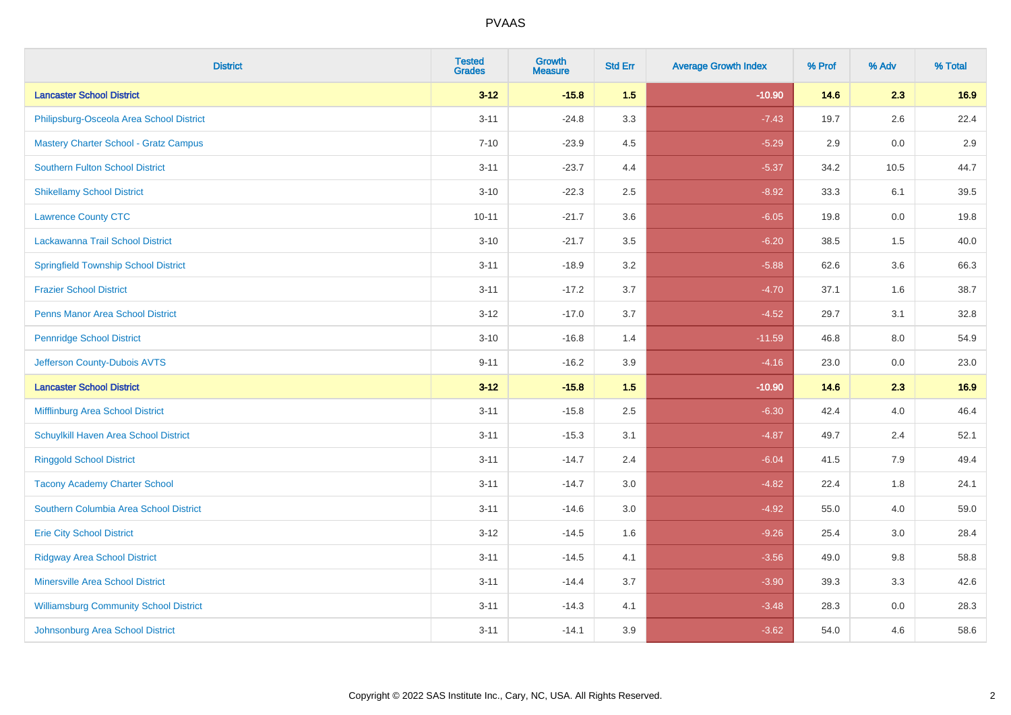| <b>District</b>                               | <b>Tested</b><br><b>Grades</b> | <b>Growth</b><br><b>Measure</b> | <b>Std Err</b> | <b>Average Growth Index</b> | % Prof | % Adv   | % Total |
|-----------------------------------------------|--------------------------------|---------------------------------|----------------|-----------------------------|--------|---------|---------|
| <b>Lancaster School District</b>              | $3 - 12$                       | $-15.8$                         | 1.5            | $-10.90$                    | 14.6   | 2.3     | 16.9    |
| Philipsburg-Osceola Area School District      | $3 - 11$                       | $-24.8$                         | 3.3            | $-7.43$                     | 19.7   | 2.6     | 22.4    |
| <b>Mastery Charter School - Gratz Campus</b>  | $7 - 10$                       | $-23.9$                         | 4.5            | $-5.29$                     | 2.9    | 0.0     | 2.9     |
| <b>Southern Fulton School District</b>        | $3 - 11$                       | $-23.7$                         | 4.4            | $-5.37$                     | 34.2   | 10.5    | 44.7    |
| <b>Shikellamy School District</b>             | $3 - 10$                       | $-22.3$                         | 2.5            | $-8.92$                     | 33.3   | 6.1     | 39.5    |
| <b>Lawrence County CTC</b>                    | $10 - 11$                      | $-21.7$                         | 3.6            | $-6.05$                     | 19.8   | 0.0     | 19.8    |
| Lackawanna Trail School District              | $3 - 10$                       | $-21.7$                         | 3.5            | $-6.20$                     | 38.5   | 1.5     | 40.0    |
| <b>Springfield Township School District</b>   | $3 - 11$                       | $-18.9$                         | 3.2            | $-5.88$                     | 62.6   | 3.6     | 66.3    |
| <b>Frazier School District</b>                | $3 - 11$                       | $-17.2$                         | 3.7            | $-4.70$                     | 37.1   | 1.6     | 38.7    |
| <b>Penns Manor Area School District</b>       | $3 - 12$                       | $-17.0$                         | 3.7            | $-4.52$                     | 29.7   | 3.1     | 32.8    |
| <b>Pennridge School District</b>              | $3 - 10$                       | $-16.8$                         | 1.4            | $-11.59$                    | 46.8   | 8.0     | 54.9    |
| Jefferson County-Dubois AVTS                  | $9 - 11$                       | $-16.2$                         | 3.9            | $-4.16$                     | 23.0   | 0.0     | 23.0    |
| <b>Lancaster School District</b>              | $3 - 12$                       | $-15.8$                         | 1.5            | $-10.90$                    | 14.6   | 2.3     | 16.9    |
| Mifflinburg Area School District              | $3 - 11$                       | $-15.8$                         | 2.5            | $-6.30$                     | 42.4   | 4.0     | 46.4    |
| Schuylkill Haven Area School District         | $3 - 11$                       | $-15.3$                         | 3.1            | $-4.87$                     | 49.7   | 2.4     | 52.1    |
| <b>Ringgold School District</b>               | $3 - 11$                       | $-14.7$                         | 2.4            | $-6.04$                     | 41.5   | 7.9     | 49.4    |
| <b>Tacony Academy Charter School</b>          | $3 - 11$                       | $-14.7$                         | 3.0            | $-4.82$                     | 22.4   | 1.8     | 24.1    |
| Southern Columbia Area School District        | $3 - 11$                       | $-14.6$                         | 3.0            | $-4.92$                     | 55.0   | 4.0     | 59.0    |
| <b>Erie City School District</b>              | $3 - 12$                       | $-14.5$                         | 1.6            | $-9.26$                     | 25.4   | 3.0     | 28.4    |
| <b>Ridgway Area School District</b>           | $3 - 11$                       | $-14.5$                         | 4.1            | $-3.56$                     | 49.0   | $9.8\,$ | 58.8    |
| <b>Minersville Area School District</b>       | $3 - 11$                       | $-14.4$                         | 3.7            | $-3.90$                     | 39.3   | 3.3     | 42.6    |
| <b>Williamsburg Community School District</b> | $3 - 11$                       | $-14.3$                         | 4.1            | $-3.48$                     | 28.3   | 0.0     | 28.3    |
| Johnsonburg Area School District              | $3 - 11$                       | $-14.1$                         | 3.9            | $-3.62$                     | 54.0   | 4.6     | 58.6    |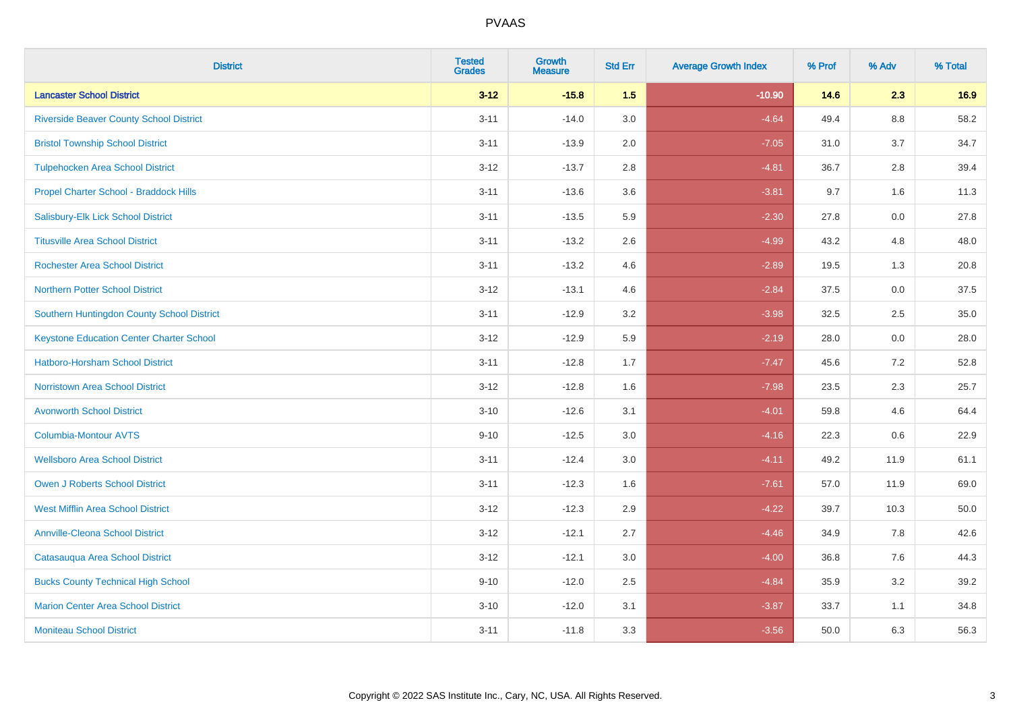| <b>District</b>                                 | <b>Tested</b><br><b>Grades</b> | <b>Growth</b><br><b>Measure</b> | <b>Std Err</b> | <b>Average Growth Index</b> | % Prof | % Adv   | % Total |
|-------------------------------------------------|--------------------------------|---------------------------------|----------------|-----------------------------|--------|---------|---------|
| <b>Lancaster School District</b>                | $3 - 12$                       | $-15.8$                         | 1.5            | $-10.90$                    | 14.6   | 2.3     | 16.9    |
| <b>Riverside Beaver County School District</b>  | $3 - 11$                       | $-14.0$                         | 3.0            | $-4.64$                     | 49.4   | $8.8\,$ | 58.2    |
| <b>Bristol Township School District</b>         | $3 - 11$                       | $-13.9$                         | 2.0            | $-7.05$                     | 31.0   | 3.7     | 34.7    |
| <b>Tulpehocken Area School District</b>         | $3 - 12$                       | $-13.7$                         | 2.8            | $-4.81$                     | 36.7   | 2.8     | 39.4    |
| Propel Charter School - Braddock Hills          | $3 - 11$                       | $-13.6$                         | 3.6            | $-3.81$                     | 9.7    | 1.6     | 11.3    |
| Salisbury-Elk Lick School District              | $3 - 11$                       | $-13.5$                         | 5.9            | $-2.30$                     | 27.8   | 0.0     | 27.8    |
| <b>Titusville Area School District</b>          | $3 - 11$                       | $-13.2$                         | 2.6            | $-4.99$                     | 43.2   | 4.8     | 48.0    |
| <b>Rochester Area School District</b>           | $3 - 11$                       | $-13.2$                         | 4.6            | $-2.89$                     | 19.5   | 1.3     | 20.8    |
| <b>Northern Potter School District</b>          | $3 - 12$                       | $-13.1$                         | 4.6            | $-2.84$                     | 37.5   | 0.0     | 37.5    |
| Southern Huntingdon County School District      | $3 - 11$                       | $-12.9$                         | 3.2            | $-3.98$                     | 32.5   | 2.5     | 35.0    |
| <b>Keystone Education Center Charter School</b> | $3 - 12$                       | $-12.9$                         | 5.9            | $-2.19$                     | 28.0   | 0.0     | 28.0    |
| <b>Hatboro-Horsham School District</b>          | $3 - 11$                       | $-12.8$                         | 1.7            | $-7.47$                     | 45.6   | 7.2     | 52.8    |
| <b>Norristown Area School District</b>          | $3 - 12$                       | $-12.8$                         | 1.6            | $-7.98$                     | 23.5   | 2.3     | 25.7    |
| <b>Avonworth School District</b>                | $3 - 10$                       | $-12.6$                         | 3.1            | $-4.01$                     | 59.8   | 4.6     | 64.4    |
| <b>Columbia-Montour AVTS</b>                    | $9 - 10$                       | $-12.5$                         | 3.0            | $-4.16$                     | 22.3   | 0.6     | 22.9    |
| <b>Wellsboro Area School District</b>           | $3 - 11$                       | $-12.4$                         | 3.0            | $-4.11$                     | 49.2   | 11.9    | 61.1    |
| Owen J Roberts School District                  | $3 - 11$                       | $-12.3$                         | 1.6            | $-7.61$                     | 57.0   | 11.9    | 69.0    |
| <b>West Mifflin Area School District</b>        | $3 - 12$                       | $-12.3$                         | 2.9            | $-4.22$                     | 39.7   | 10.3    | 50.0    |
| <b>Annville-Cleona School District</b>          | $3 - 12$                       | $-12.1$                         | 2.7            | $-4.46$                     | 34.9   | 7.8     | 42.6    |
| Catasauqua Area School District                 | $3 - 12$                       | $-12.1$                         | 3.0            | $-4.00$                     | 36.8   | 7.6     | 44.3    |
| <b>Bucks County Technical High School</b>       | $9 - 10$                       | $-12.0$                         | 2.5            | $-4.84$                     | 35.9   | 3.2     | 39.2    |
| <b>Marion Center Area School District</b>       | $3 - 10$                       | $-12.0$                         | 3.1            | $-3.87$                     | 33.7   | 1.1     | 34.8    |
| <b>Moniteau School District</b>                 | $3 - 11$                       | $-11.8$                         | 3.3            | $-3.56$                     | 50.0   | 6.3     | 56.3    |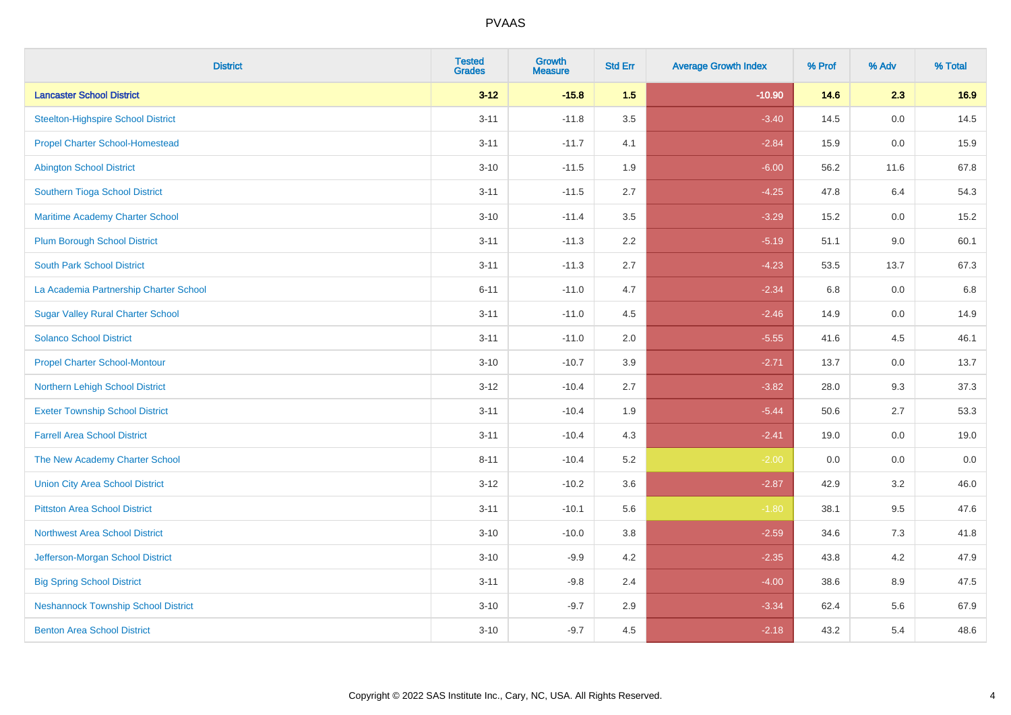| <b>District</b>                            | <b>Tested</b><br><b>Grades</b> | <b>Growth</b><br><b>Measure</b> | <b>Std Err</b> | <b>Average Growth Index</b> | % Prof | % Adv | % Total |
|--------------------------------------------|--------------------------------|---------------------------------|----------------|-----------------------------|--------|-------|---------|
| <b>Lancaster School District</b>           | $3 - 12$                       | $-15.8$                         | 1.5            | $-10.90$                    | 14.6   | 2.3   | 16.9    |
| <b>Steelton-Highspire School District</b>  | $3 - 11$                       | $-11.8$                         | 3.5            | $-3.40$                     | 14.5   | 0.0   | 14.5    |
| <b>Propel Charter School-Homestead</b>     | $3 - 11$                       | $-11.7$                         | 4.1            | $-2.84$                     | 15.9   | 0.0   | 15.9    |
| <b>Abington School District</b>            | $3 - 10$                       | $-11.5$                         | 1.9            | $-6.00$                     | 56.2   | 11.6  | 67.8    |
| Southern Tioga School District             | $3 - 11$                       | $-11.5$                         | 2.7            | $-4.25$                     | 47.8   | 6.4   | 54.3    |
| Maritime Academy Charter School            | $3 - 10$                       | $-11.4$                         | 3.5            | $-3.29$                     | 15.2   | 0.0   | 15.2    |
| <b>Plum Borough School District</b>        | $3 - 11$                       | $-11.3$                         | 2.2            | $-5.19$                     | 51.1   | 9.0   | 60.1    |
| <b>South Park School District</b>          | $3 - 11$                       | $-11.3$                         | 2.7            | $-4.23$                     | 53.5   | 13.7  | 67.3    |
| La Academia Partnership Charter School     | $6 - 11$                       | $-11.0$                         | 4.7            | $-2.34$                     | 6.8    | 0.0   | 6.8     |
| <b>Sugar Valley Rural Charter School</b>   | $3 - 11$                       | $-11.0$                         | 4.5            | $-2.46$                     | 14.9   | 0.0   | 14.9    |
| <b>Solanco School District</b>             | $3 - 11$                       | $-11.0$                         | 2.0            | $-5.55$                     | 41.6   | 4.5   | 46.1    |
| <b>Propel Charter School-Montour</b>       | $3 - 10$                       | $-10.7$                         | 3.9            | $-2.71$                     | 13.7   | 0.0   | 13.7    |
| Northern Lehigh School District            | $3 - 12$                       | $-10.4$                         | 2.7            | $-3.82$                     | 28.0   | 9.3   | 37.3    |
| <b>Exeter Township School District</b>     | $3 - 11$                       | $-10.4$                         | 1.9            | $-5.44$                     | 50.6   | 2.7   | 53.3    |
| <b>Farrell Area School District</b>        | $3 - 11$                       | $-10.4$                         | 4.3            | $-2.41$                     | 19.0   | 0.0   | 19.0    |
| The New Academy Charter School             | $8 - 11$                       | $-10.4$                         | 5.2            | $-2.00$                     | 0.0    | 0.0   | $0.0\,$ |
| <b>Union City Area School District</b>     | $3 - 12$                       | $-10.2$                         | 3.6            | $-2.87$                     | 42.9   | 3.2   | 46.0    |
| <b>Pittston Area School District</b>       | $3 - 11$                       | $-10.1$                         | 5.6            | $-1.80$                     | 38.1   | 9.5   | 47.6    |
| <b>Northwest Area School District</b>      | $3 - 10$                       | $-10.0$                         | 3.8            | $-2.59$                     | 34.6   | $7.3$ | 41.8    |
| Jefferson-Morgan School District           | $3 - 10$                       | $-9.9$                          | 4.2            | $-2.35$                     | 43.8   | 4.2   | 47.9    |
| <b>Big Spring School District</b>          | $3 - 11$                       | $-9.8$                          | 2.4            | $-4.00$                     | 38.6   | 8.9   | 47.5    |
| <b>Neshannock Township School District</b> | $3 - 10$                       | $-9.7$                          | 2.9            | $-3.34$                     | 62.4   | 5.6   | 67.9    |
| <b>Benton Area School District</b>         | $3 - 10$                       | $-9.7$                          | 4.5            | $-2.18$                     | 43.2   | 5.4   | 48.6    |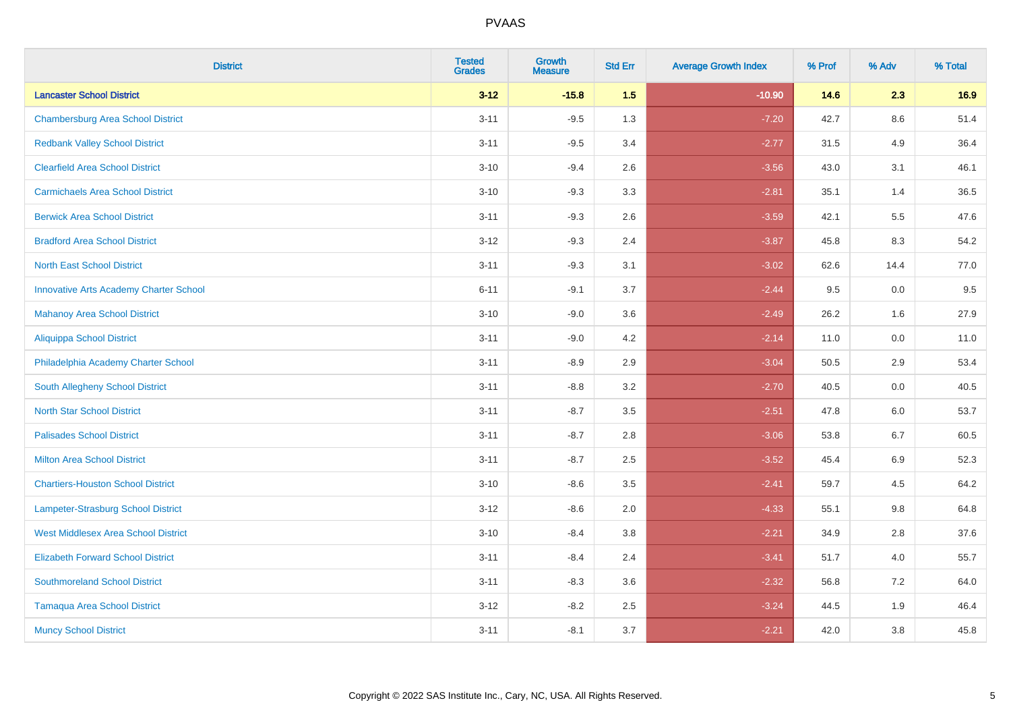| <b>District</b>                               | <b>Tested</b><br><b>Grades</b> | <b>Growth</b><br><b>Measure</b> | <b>Std Err</b> | <b>Average Growth Index</b> | % Prof | % Adv   | % Total |
|-----------------------------------------------|--------------------------------|---------------------------------|----------------|-----------------------------|--------|---------|---------|
| <b>Lancaster School District</b>              | $3 - 12$                       | $-15.8$                         | 1.5            | $-10.90$                    | 14.6   | 2.3     | 16.9    |
| <b>Chambersburg Area School District</b>      | $3 - 11$                       | $-9.5$                          | 1.3            | $-7.20$                     | 42.7   | 8.6     | 51.4    |
| <b>Redbank Valley School District</b>         | $3 - 11$                       | $-9.5$                          | 3.4            | $-2.77$                     | 31.5   | 4.9     | 36.4    |
| <b>Clearfield Area School District</b>        | $3 - 10$                       | $-9.4$                          | 2.6            | $-3.56$                     | 43.0   | 3.1     | 46.1    |
| <b>Carmichaels Area School District</b>       | $3 - 10$                       | $-9.3$                          | 3.3            | $-2.81$                     | 35.1   | 1.4     | 36.5    |
| <b>Berwick Area School District</b>           | $3 - 11$                       | $-9.3$                          | 2.6            | $-3.59$                     | 42.1   | 5.5     | 47.6    |
| <b>Bradford Area School District</b>          | $3 - 12$                       | $-9.3$                          | 2.4            | $-3.87$                     | 45.8   | 8.3     | 54.2    |
| <b>North East School District</b>             | $3 - 11$                       | $-9.3$                          | 3.1            | $-3.02$                     | 62.6   | 14.4    | 77.0    |
| <b>Innovative Arts Academy Charter School</b> | $6 - 11$                       | $-9.1$                          | 3.7            | $-2.44$                     | 9.5    | 0.0     | 9.5     |
| <b>Mahanoy Area School District</b>           | $3 - 10$                       | $-9.0$                          | 3.6            | $-2.49$                     | 26.2   | 1.6     | 27.9    |
| <b>Aliquippa School District</b>              | $3 - 11$                       | $-9.0$                          | 4.2            | $-2.14$                     | 11.0   | 0.0     | 11.0    |
| Philadelphia Academy Charter School           | $3 - 11$                       | $-8.9$                          | 2.9            | $-3.04$                     | 50.5   | 2.9     | 53.4    |
| South Allegheny School District               | $3 - 11$                       | $-8.8$                          | 3.2            | $-2.70$                     | 40.5   | $0.0\,$ | 40.5    |
| <b>North Star School District</b>             | $3 - 11$                       | $-8.7$                          | 3.5            | $-2.51$                     | 47.8   | 6.0     | 53.7    |
| <b>Palisades School District</b>              | $3 - 11$                       | $-8.7$                          | 2.8            | $-3.06$                     | 53.8   | 6.7     | 60.5    |
| <b>Milton Area School District</b>            | $3 - 11$                       | $-8.7$                          | 2.5            | $-3.52$                     | 45.4   | $6.9\,$ | 52.3    |
| <b>Chartiers-Houston School District</b>      | $3 - 10$                       | $-8.6$                          | 3.5            | $-2.41$                     | 59.7   | 4.5     | 64.2    |
| <b>Lampeter-Strasburg School District</b>     | $3 - 12$                       | $-8.6$                          | 2.0            | $-4.33$                     | 55.1   | 9.8     | 64.8    |
| <b>West Middlesex Area School District</b>    | $3 - 10$                       | $-8.4$                          | 3.8            | $-2.21$                     | 34.9   | 2.8     | 37.6    |
| <b>Elizabeth Forward School District</b>      | $3 - 11$                       | $-8.4$                          | 2.4            | $-3.41$                     | 51.7   | 4.0     | 55.7    |
| <b>Southmoreland School District</b>          | $3 - 11$                       | $-8.3$                          | 3.6            | $-2.32$                     | 56.8   | 7.2     | 64.0    |
| <b>Tamaqua Area School District</b>           | $3 - 12$                       | $-8.2$                          | 2.5            | $-3.24$                     | 44.5   | 1.9     | 46.4    |
| <b>Muncy School District</b>                  | $3 - 11$                       | $-8.1$                          | 3.7            | $-2.21$                     | 42.0   | 3.8     | 45.8    |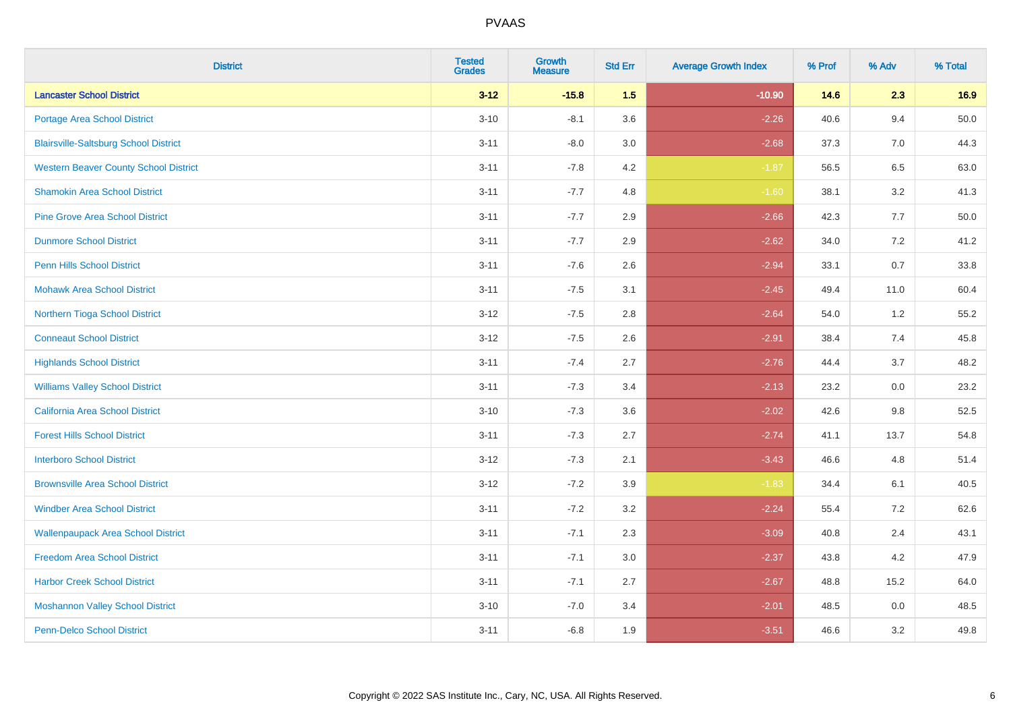| <b>District</b>                              | <b>Tested</b><br><b>Grades</b> | Growth<br><b>Measure</b> | <b>Std Err</b> | <b>Average Growth Index</b> | % Prof | % Adv | % Total |
|----------------------------------------------|--------------------------------|--------------------------|----------------|-----------------------------|--------|-------|---------|
| <b>Lancaster School District</b>             | $3 - 12$                       | $-15.8$                  | 1.5            | $-10.90$                    | 14.6   | 2.3   | 16.9    |
| <b>Portage Area School District</b>          | $3 - 10$                       | $-8.1$                   | 3.6            | $-2.26$                     | 40.6   | 9.4   | 50.0    |
| <b>Blairsville-Saltsburg School District</b> | $3 - 11$                       | $-8.0$                   | 3.0            | $-2.68$                     | 37.3   | 7.0   | 44.3    |
| <b>Western Beaver County School District</b> | $3 - 11$                       | $-7.8$                   | 4.2            | $-1.87$                     | 56.5   | 6.5   | 63.0    |
| <b>Shamokin Area School District</b>         | $3 - 11$                       | $-7.7$                   | 4.8            | $-1.60$                     | 38.1   | 3.2   | 41.3    |
| <b>Pine Grove Area School District</b>       | $3 - 11$                       | $-7.7$                   | 2.9            | $-2.66$                     | 42.3   | 7.7   | 50.0    |
| <b>Dunmore School District</b>               | $3 - 11$                       | $-7.7$                   | 2.9            | $-2.62$                     | 34.0   | 7.2   | 41.2    |
| <b>Penn Hills School District</b>            | $3 - 11$                       | $-7.6$                   | 2.6            | $-2.94$                     | 33.1   | 0.7   | 33.8    |
| <b>Mohawk Area School District</b>           | $3 - 11$                       | $-7.5$                   | 3.1            | $-2.45$                     | 49.4   | 11.0  | 60.4    |
| Northern Tioga School District               | $3 - 12$                       | $-7.5$                   | 2.8            | $-2.64$                     | 54.0   | 1.2   | 55.2    |
| <b>Conneaut School District</b>              | $3 - 12$                       | $-7.5$                   | 2.6            | $-2.91$                     | 38.4   | 7.4   | 45.8    |
| <b>Highlands School District</b>             | $3 - 11$                       | $-7.4$                   | 2.7            | $-2.76$                     | 44.4   | 3.7   | 48.2    |
| <b>Williams Valley School District</b>       | $3 - 11$                       | $-7.3$                   | 3.4            | $-2.13$                     | 23.2   | 0.0   | 23.2    |
| California Area School District              | $3 - 10$                       | $-7.3$                   | 3.6            | $-2.02$                     | 42.6   | 9.8   | 52.5    |
| <b>Forest Hills School District</b>          | $3 - 11$                       | $-7.3$                   | 2.7            | $-2.74$                     | 41.1   | 13.7  | 54.8    |
| <b>Interboro School District</b>             | $3 - 12$                       | $-7.3$                   | 2.1            | $-3.43$                     | 46.6   | 4.8   | 51.4    |
| <b>Brownsville Area School District</b>      | $3 - 12$                       | $-7.2$                   | 3.9            | $-1.83$                     | 34.4   | 6.1   | 40.5    |
| <b>Windber Area School District</b>          | $3 - 11$                       | $-7.2$                   | 3.2            | $-2.24$                     | 55.4   | 7.2   | 62.6    |
| <b>Wallenpaupack Area School District</b>    | $3 - 11$                       | $-7.1$                   | 2.3            | $-3.09$                     | 40.8   | 2.4   | 43.1    |
| <b>Freedom Area School District</b>          | $3 - 11$                       | $-7.1$                   | 3.0            | $-2.37$                     | 43.8   | 4.2   | 47.9    |
| <b>Harbor Creek School District</b>          | $3 - 11$                       | $-7.1$                   | 2.7            | $-2.67$                     | 48.8   | 15.2  | 64.0    |
| <b>Moshannon Valley School District</b>      | $3 - 10$                       | $-7.0$                   | 3.4            | $-2.01$                     | 48.5   | 0.0   | 48.5    |
| <b>Penn-Delco School District</b>            | $3 - 11$                       | $-6.8$                   | 1.9            | $-3.51$                     | 46.6   | 3.2   | 49.8    |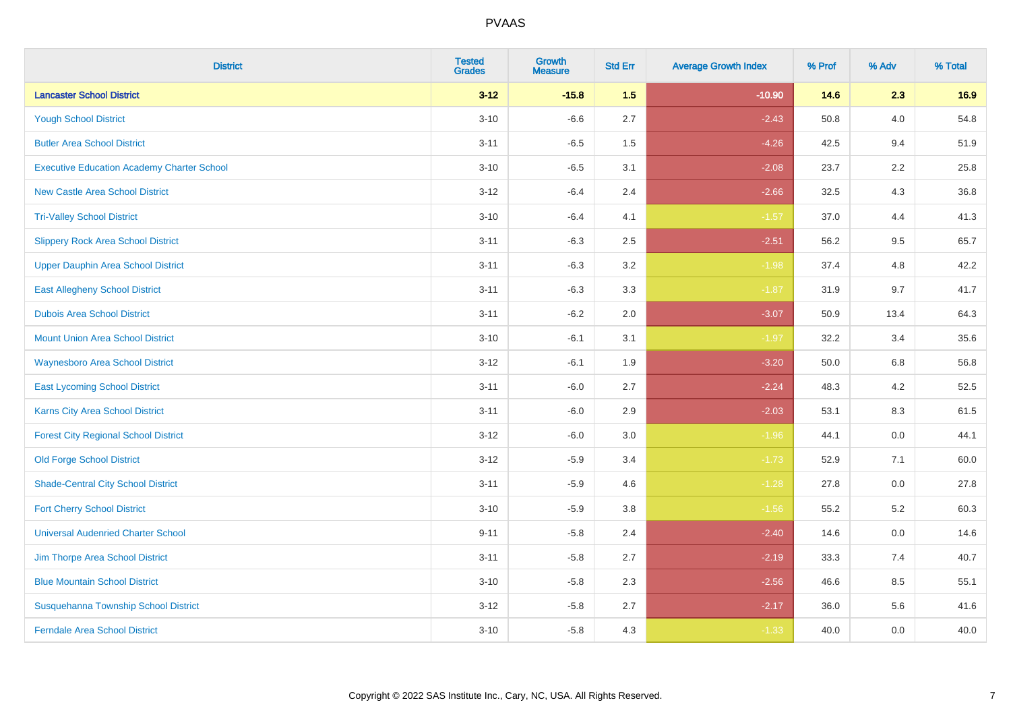| <b>District</b>                                   | <b>Tested</b><br><b>Grades</b> | Growth<br><b>Measure</b> | <b>Std Err</b> | <b>Average Growth Index</b> | % Prof | % Adv   | % Total |
|---------------------------------------------------|--------------------------------|--------------------------|----------------|-----------------------------|--------|---------|---------|
| <b>Lancaster School District</b>                  | $3 - 12$                       | $-15.8$                  | 1.5            | $-10.90$                    | 14.6   | 2.3     | 16.9    |
| <b>Yough School District</b>                      | $3 - 10$                       | $-6.6$                   | 2.7            | $-2.43$                     | 50.8   | 4.0     | 54.8    |
| <b>Butler Area School District</b>                | $3 - 11$                       | $-6.5$                   | 1.5            | $-4.26$                     | 42.5   | 9.4     | 51.9    |
| <b>Executive Education Academy Charter School</b> | $3 - 10$                       | $-6.5$                   | 3.1            | $-2.08$                     | 23.7   | $2.2\,$ | 25.8    |
| <b>New Castle Area School District</b>            | $3 - 12$                       | $-6.4$                   | 2.4            | $-2.66$                     | 32.5   | 4.3     | 36.8    |
| <b>Tri-Valley School District</b>                 | $3 - 10$                       | $-6.4$                   | 4.1            | $-1.57$                     | 37.0   | 4.4     | 41.3    |
| <b>Slippery Rock Area School District</b>         | $3 - 11$                       | $-6.3$                   | 2.5            | $-2.51$                     | 56.2   | 9.5     | 65.7    |
| <b>Upper Dauphin Area School District</b>         | $3 - 11$                       | $-6.3$                   | 3.2            | $-1.98$                     | 37.4   | 4.8     | 42.2    |
| <b>East Allegheny School District</b>             | $3 - 11$                       | $-6.3$                   | 3.3            | $-1.87$                     | 31.9   | 9.7     | 41.7    |
| <b>Dubois Area School District</b>                | $3 - 11$                       | $-6.2$                   | 2.0            | $-3.07$                     | 50.9   | 13.4    | 64.3    |
| <b>Mount Union Area School District</b>           | $3 - 10$                       | $-6.1$                   | 3.1            | $-1.97$                     | 32.2   | 3.4     | 35.6    |
| <b>Waynesboro Area School District</b>            | $3 - 12$                       | $-6.1$                   | 1.9            | $-3.20$                     | 50.0   | 6.8     | 56.8    |
| <b>East Lycoming School District</b>              | $3 - 11$                       | $-6.0$                   | 2.7            | $-2.24$                     | 48.3   | 4.2     | 52.5    |
| <b>Karns City Area School District</b>            | $3 - 11$                       | $-6.0$                   | 2.9            | $-2.03$                     | 53.1   | 8.3     | 61.5    |
| <b>Forest City Regional School District</b>       | $3 - 12$                       | $-6.0$                   | 3.0            | $-1.96$                     | 44.1   | 0.0     | 44.1    |
| <b>Old Forge School District</b>                  | $3 - 12$                       | $-5.9$                   | 3.4            | $-1.73$                     | 52.9   | 7.1     | 60.0    |
| <b>Shade-Central City School District</b>         | $3 - 11$                       | $-5.9$                   | 4.6            | $-1.28$                     | 27.8   | 0.0     | 27.8    |
| <b>Fort Cherry School District</b>                | $3 - 10$                       | $-5.9$                   | 3.8            | $-1.56$                     | 55.2   | 5.2     | 60.3    |
| <b>Universal Audenried Charter School</b>         | $9 - 11$                       | $-5.8$                   | 2.4            | $-2.40$                     | 14.6   | 0.0     | 14.6    |
| Jim Thorpe Area School District                   | $3 - 11$                       | $-5.8$                   | 2.7            | $-2.19$                     | 33.3   | 7.4     | 40.7    |
| <b>Blue Mountain School District</b>              | $3 - 10$                       | $-5.8$                   | 2.3            | $-2.56$                     | 46.6   | 8.5     | 55.1    |
| Susquehanna Township School District              | $3 - 12$                       | $-5.8$                   | 2.7            | $-2.17$                     | 36.0   | 5.6     | 41.6    |
| <b>Ferndale Area School District</b>              | $3 - 10$                       | $-5.8$                   | 4.3            | $-1.33$                     | 40.0   | 0.0     | 40.0    |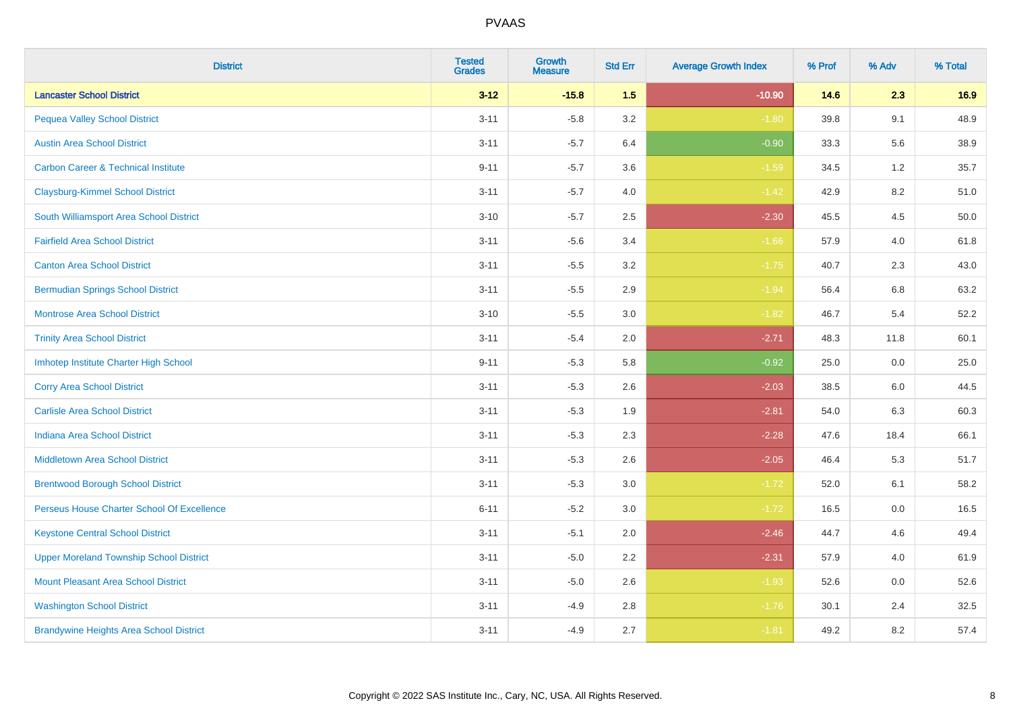| <b>District</b>                                | <b>Tested</b><br><b>Grades</b> | Growth<br><b>Measure</b> | <b>Std Err</b> | <b>Average Growth Index</b> | % Prof | % Adv   | % Total |
|------------------------------------------------|--------------------------------|--------------------------|----------------|-----------------------------|--------|---------|---------|
| <b>Lancaster School District</b>               | $3 - 12$                       | $-15.8$                  | 1.5            | $-10.90$                    | 14.6   | 2.3     | 16.9    |
| <b>Pequea Valley School District</b>           | $3 - 11$                       | $-5.8$                   | 3.2            | $-1.80$                     | 39.8   | 9.1     | 48.9    |
| <b>Austin Area School District</b>             | $3 - 11$                       | $-5.7$                   | 6.4            | $-0.90$                     | 33.3   | 5.6     | 38.9    |
| <b>Carbon Career &amp; Technical Institute</b> | $9 - 11$                       | $-5.7$                   | 3.6            | $-1.59$                     | 34.5   | $1.2\,$ | 35.7    |
| <b>Claysburg-Kimmel School District</b>        | $3 - 11$                       | $-5.7$                   | 4.0            | $-1.42$                     | 42.9   | 8.2     | 51.0    |
| South Williamsport Area School District        | $3 - 10$                       | $-5.7$                   | 2.5            | $-2.30$                     | 45.5   | 4.5     | 50.0    |
| <b>Fairfield Area School District</b>          | $3 - 11$                       | $-5.6$                   | 3.4            | $-1.66$                     | 57.9   | 4.0     | 61.8    |
| <b>Canton Area School District</b>             | $3 - 11$                       | $-5.5$                   | 3.2            | $-1.75$                     | 40.7   | 2.3     | 43.0    |
| <b>Bermudian Springs School District</b>       | $3 - 11$                       | $-5.5$                   | 2.9            | $-1.94$                     | 56.4   | 6.8     | 63.2    |
| <b>Montrose Area School District</b>           | $3 - 10$                       | $-5.5$                   | 3.0            | $-1.82$                     | 46.7   | 5.4     | 52.2    |
| <b>Trinity Area School District</b>            | $3 - 11$                       | $-5.4$                   | 2.0            | $-2.71$                     | 48.3   | 11.8    | 60.1    |
| Imhotep Institute Charter High School          | $9 - 11$                       | $-5.3$                   | 5.8            | $-0.92$                     | 25.0   | 0.0     | 25.0    |
| <b>Corry Area School District</b>              | $3 - 11$                       | $-5.3$                   | 2.6            | $-2.03$                     | 38.5   | 6.0     | 44.5    |
| <b>Carlisle Area School District</b>           | $3 - 11$                       | $-5.3$                   | 1.9            | $-2.81$                     | 54.0   | 6.3     | 60.3    |
| <b>Indiana Area School District</b>            | $3 - 11$                       | $-5.3$                   | 2.3            | $-2.28$                     | 47.6   | 18.4    | 66.1    |
| <b>Middletown Area School District</b>         | $3 - 11$                       | $-5.3$                   | 2.6            | $-2.05$                     | 46.4   | 5.3     | 51.7    |
| <b>Brentwood Borough School District</b>       | $3 - 11$                       | $-5.3$                   | 3.0            | $-1.72$                     | 52.0   | 6.1     | 58.2    |
| Perseus House Charter School Of Excellence     | $6 - 11$                       | $-5.2$                   | 3.0            | $-1.72$                     | 16.5   | 0.0     | 16.5    |
| <b>Keystone Central School District</b>        | $3 - 11$                       | $-5.1$                   | 2.0            | $-2.46$                     | 44.7   | 4.6     | 49.4    |
| <b>Upper Moreland Township School District</b> | $3 - 11$                       | $-5.0$                   | 2.2            | $-2.31$                     | 57.9   | 4.0     | 61.9    |
| <b>Mount Pleasant Area School District</b>     | $3 - 11$                       | $-5.0$                   | 2.6            | $-1.93$                     | 52.6   | 0.0     | 52.6    |
| <b>Washington School District</b>              | $3 - 11$                       | $-4.9$                   | 2.8            | $-1.76$                     | 30.1   | 2.4     | 32.5    |
| <b>Brandywine Heights Area School District</b> | $3 - 11$                       | $-4.9$                   | 2.7            | $-1.81$                     | 49.2   | 8.2     | 57.4    |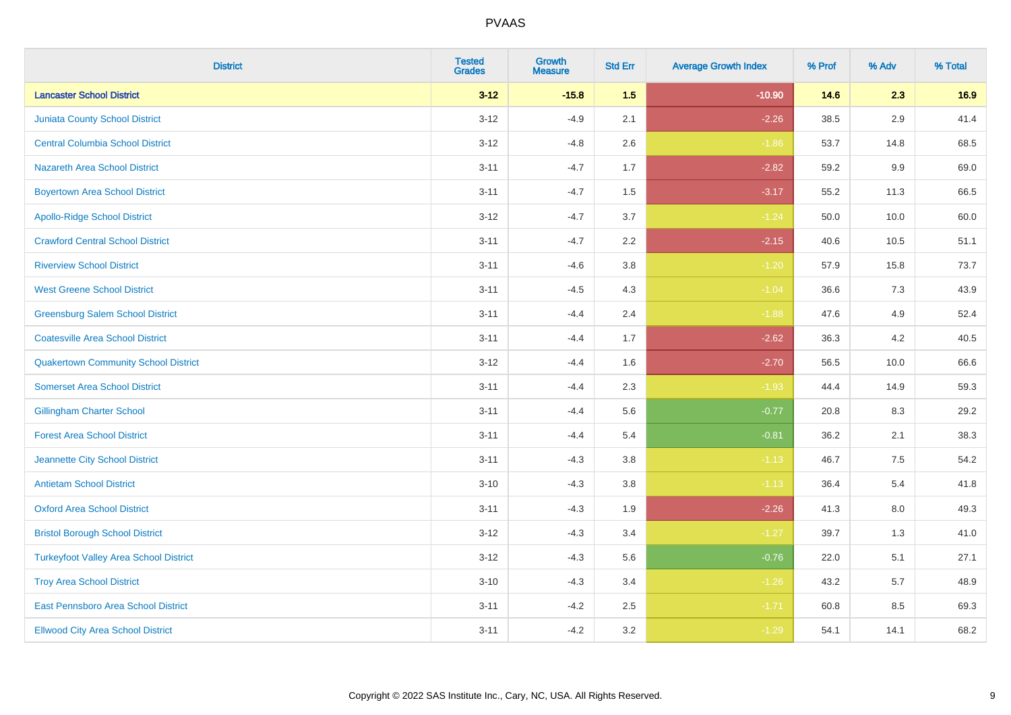| <b>District</b>                               | <b>Tested</b><br><b>Grades</b> | Growth<br><b>Measure</b> | <b>Std Err</b> | <b>Average Growth Index</b> | % Prof | % Adv   | % Total |
|-----------------------------------------------|--------------------------------|--------------------------|----------------|-----------------------------|--------|---------|---------|
| <b>Lancaster School District</b>              | $3 - 12$                       | $-15.8$                  | 1.5            | $-10.90$                    | 14.6   | 2.3     | 16.9    |
| <b>Juniata County School District</b>         | $3 - 12$                       | $-4.9$                   | 2.1            | $-2.26$                     | 38.5   | 2.9     | 41.4    |
| <b>Central Columbia School District</b>       | $3 - 12$                       | $-4.8$                   | 2.6            | $-1.86$                     | 53.7   | 14.8    | 68.5    |
| Nazareth Area School District                 | $3 - 11$                       | $-4.7$                   | 1.7            | $-2.82$                     | 59.2   | 9.9     | 69.0    |
| <b>Boyertown Area School District</b>         | $3 - 11$                       | $-4.7$                   | 1.5            | $-3.17$                     | 55.2   | 11.3    | 66.5    |
| <b>Apollo-Ridge School District</b>           | $3 - 12$                       | $-4.7$                   | 3.7            | $-1.24$                     | 50.0   | 10.0    | 60.0    |
| <b>Crawford Central School District</b>       | $3 - 11$                       | $-4.7$                   | 2.2            | $-2.15$                     | 40.6   | 10.5    | 51.1    |
| <b>Riverview School District</b>              | $3 - 11$                       | $-4.6$                   | 3.8            | $-1.20$                     | 57.9   | 15.8    | 73.7    |
| <b>West Greene School District</b>            | $3 - 11$                       | $-4.5$                   | 4.3            | $-1.04$                     | 36.6   | 7.3     | 43.9    |
| <b>Greensburg Salem School District</b>       | $3 - 11$                       | $-4.4$                   | 2.4            | $-1.88$                     | 47.6   | 4.9     | 52.4    |
| <b>Coatesville Area School District</b>       | $3 - 11$                       | $-4.4$                   | 1.7            | $-2.62$                     | 36.3   | 4.2     | 40.5    |
| <b>Quakertown Community School District</b>   | $3 - 12$                       | $-4.4$                   | 1.6            | $-2.70$                     | 56.5   | 10.0    | 66.6    |
| <b>Somerset Area School District</b>          | $3 - 11$                       | $-4.4$                   | 2.3            | $-1.93$                     | 44.4   | 14.9    | 59.3    |
| <b>Gillingham Charter School</b>              | $3 - 11$                       | $-4.4$                   | 5.6            | $-0.77$                     | 20.8   | 8.3     | 29.2    |
| <b>Forest Area School District</b>            | $3 - 11$                       | $-4.4$                   | 5.4            | $-0.81$                     | 36.2   | 2.1     | 38.3    |
| Jeannette City School District                | $3 - 11$                       | $-4.3$                   | 3.8            | $-1.13$                     | 46.7   | $7.5\,$ | 54.2    |
| <b>Antietam School District</b>               | $3 - 10$                       | $-4.3$                   | 3.8            | $-1.13$                     | 36.4   | 5.4     | 41.8    |
| <b>Oxford Area School District</b>            | $3 - 11$                       | $-4.3$                   | 1.9            | $-2.26$                     | 41.3   | 8.0     | 49.3    |
| <b>Bristol Borough School District</b>        | $3 - 12$                       | $-4.3$                   | 3.4            | $-1.27$                     | 39.7   | 1.3     | 41.0    |
| <b>Turkeyfoot Valley Area School District</b> | $3 - 12$                       | $-4.3$                   | 5.6            | $-0.76$                     | 22.0   | 5.1     | 27.1    |
| <b>Troy Area School District</b>              | $3 - 10$                       | $-4.3$                   | 3.4            | $-1.26$                     | 43.2   | 5.7     | 48.9    |
| East Pennsboro Area School District           | $3 - 11$                       | $-4.2$                   | 2.5            | $-1.71$                     | 60.8   | 8.5     | 69.3    |
| <b>Ellwood City Area School District</b>      | $3 - 11$                       | $-4.2$                   | 3.2            | $-1.29$                     | 54.1   | 14.1    | 68.2    |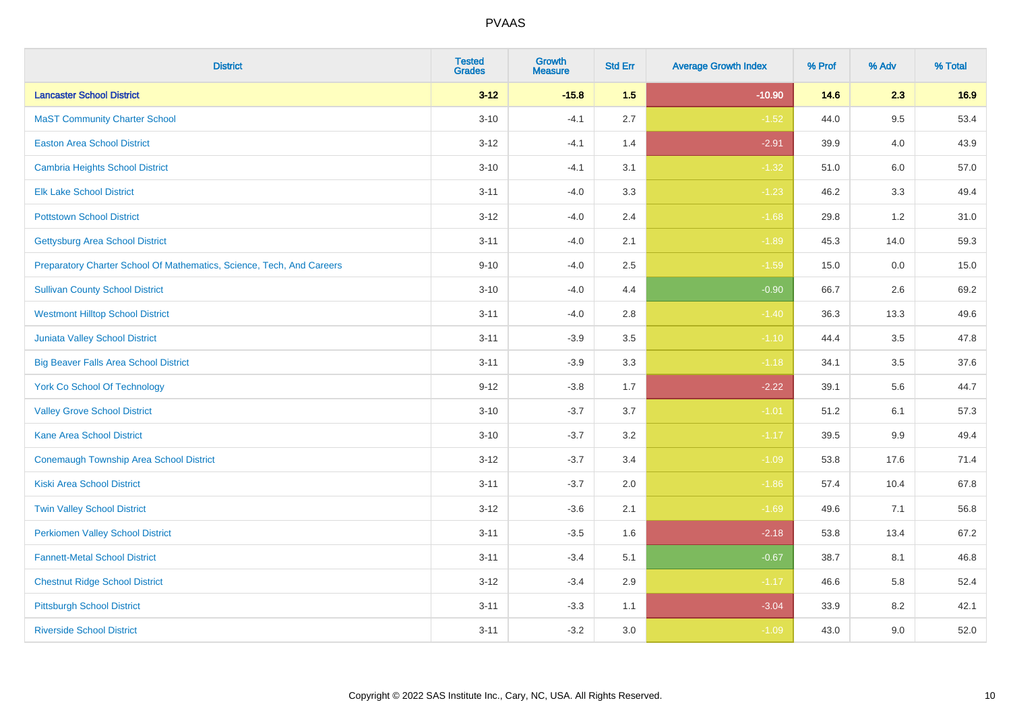| <b>District</b>                                                       | <b>Tested</b><br><b>Grades</b> | <b>Growth</b><br><b>Measure</b> | <b>Std Err</b> | <b>Average Growth Index</b> | % Prof | % Adv   | % Total |
|-----------------------------------------------------------------------|--------------------------------|---------------------------------|----------------|-----------------------------|--------|---------|---------|
| <b>Lancaster School District</b>                                      | $3 - 12$                       | $-15.8$                         | 1.5            | $-10.90$                    | 14.6   | 2.3     | 16.9    |
| <b>MaST Community Charter School</b>                                  | $3 - 10$                       | $-4.1$                          | 2.7            | $-1.52$                     | 44.0   | 9.5     | 53.4    |
| <b>Easton Area School District</b>                                    | $3 - 12$                       | $-4.1$                          | 1.4            | $-2.91$                     | 39.9   | 4.0     | 43.9    |
| <b>Cambria Heights School District</b>                                | $3 - 10$                       | $-4.1$                          | 3.1            | $-1.32$                     | 51.0   | $6.0\,$ | 57.0    |
| <b>Elk Lake School District</b>                                       | $3 - 11$                       | $-4.0$                          | 3.3            | $-1.23$                     | 46.2   | 3.3     | 49.4    |
| <b>Pottstown School District</b>                                      | $3 - 12$                       | $-4.0$                          | 2.4            | $-1.68$                     | 29.8   | 1.2     | 31.0    |
| <b>Gettysburg Area School District</b>                                | $3 - 11$                       | $-4.0$                          | 2.1            | $-1.89$                     | 45.3   | 14.0    | 59.3    |
| Preparatory Charter School Of Mathematics, Science, Tech, And Careers | $9 - 10$                       | $-4.0$                          | 2.5            | $-1.59$                     | 15.0   | 0.0     | 15.0    |
| <b>Sullivan County School District</b>                                | $3 - 10$                       | $-4.0$                          | 4.4            | $-0.90$                     | 66.7   | 2.6     | 69.2    |
| <b>Westmont Hilltop School District</b>                               | $3 - 11$                       | $-4.0$                          | 2.8            | $-1.40$                     | 36.3   | 13.3    | 49.6    |
| Juniata Valley School District                                        | $3 - 11$                       | $-3.9$                          | 3.5            | $-1.10$                     | 44.4   | 3.5     | 47.8    |
| <b>Big Beaver Falls Area School District</b>                          | $3 - 11$                       | $-3.9$                          | 3.3            | $-1.18$                     | 34.1   | 3.5     | 37.6    |
| <b>York Co School Of Technology</b>                                   | $9 - 12$                       | $-3.8$                          | 1.7            | $-2.22$                     | 39.1   | 5.6     | 44.7    |
| <b>Valley Grove School District</b>                                   | $3 - 10$                       | $-3.7$                          | 3.7            | $-1.01$                     | 51.2   | 6.1     | 57.3    |
| <b>Kane Area School District</b>                                      | $3 - 10$                       | $-3.7$                          | 3.2            | $-1.17$                     | 39.5   | 9.9     | 49.4    |
| <b>Conemaugh Township Area School District</b>                        | $3 - 12$                       | $-3.7$                          | 3.4            | $-1.09$                     | 53.8   | 17.6    | 71.4    |
| <b>Kiski Area School District</b>                                     | $3 - 11$                       | $-3.7$                          | 2.0            | $-1.86$                     | 57.4   | 10.4    | 67.8    |
| <b>Twin Valley School District</b>                                    | $3 - 12$                       | $-3.6$                          | 2.1            | $-1.69$                     | 49.6   | 7.1     | 56.8    |
| <b>Perkiomen Valley School District</b>                               | $3 - 11$                       | $-3.5$                          | 1.6            | $-2.18$                     | 53.8   | 13.4    | 67.2    |
| <b>Fannett-Metal School District</b>                                  | $3 - 11$                       | $-3.4$                          | 5.1            | $-0.67$                     | 38.7   | 8.1     | 46.8    |
| <b>Chestnut Ridge School District</b>                                 | $3 - 12$                       | $-3.4$                          | 2.9            | $-1.17$                     | 46.6   | 5.8     | 52.4    |
| <b>Pittsburgh School District</b>                                     | $3 - 11$                       | $-3.3$                          | 1.1            | $-3.04$                     | 33.9   | 8.2     | 42.1    |
| <b>Riverside School District</b>                                      | $3 - 11$                       | $-3.2$                          | 3.0            | $-1.09$                     | 43.0   | 9.0     | 52.0    |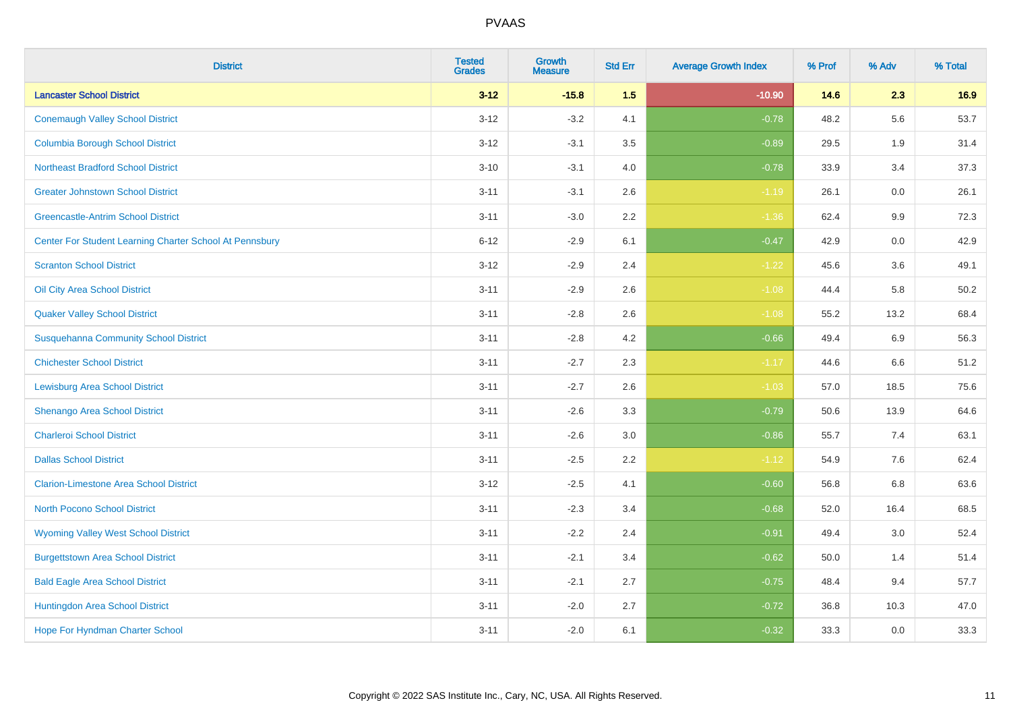| <b>District</b>                                         | <b>Tested</b><br><b>Grades</b> | <b>Growth</b><br><b>Measure</b> | <b>Std Err</b> | <b>Average Growth Index</b> | % Prof | % Adv   | % Total |
|---------------------------------------------------------|--------------------------------|---------------------------------|----------------|-----------------------------|--------|---------|---------|
| <b>Lancaster School District</b>                        | $3 - 12$                       | $-15.8$                         | 1.5            | $-10.90$                    | 14.6   | 2.3     | 16.9    |
| <b>Conemaugh Valley School District</b>                 | $3 - 12$                       | $-3.2$                          | 4.1            | $-0.78$                     | 48.2   | 5.6     | 53.7    |
| <b>Columbia Borough School District</b>                 | $3 - 12$                       | $-3.1$                          | 3.5            | $-0.89$                     | 29.5   | 1.9     | 31.4    |
| <b>Northeast Bradford School District</b>               | $3 - 10$                       | $-3.1$                          | $4.0\,$        | $-0.78$                     | 33.9   | 3.4     | 37.3    |
| <b>Greater Johnstown School District</b>                | $3 - 11$                       | $-3.1$                          | 2.6            | $-1.19$                     | 26.1   | 0.0     | 26.1    |
| <b>Greencastle-Antrim School District</b>               | $3 - 11$                       | $-3.0$                          | 2.2            | $-1.36$                     | 62.4   | $9.9\,$ | 72.3    |
| Center For Student Learning Charter School At Pennsbury | $6 - 12$                       | $-2.9$                          | 6.1            | $-0.47$                     | 42.9   | $0.0\,$ | 42.9    |
| <b>Scranton School District</b>                         | $3 - 12$                       | $-2.9$                          | 2.4            | $-1.22$                     | 45.6   | 3.6     | 49.1    |
| Oil City Area School District                           | $3 - 11$                       | $-2.9$                          | 2.6            | $-1.08$                     | 44.4   | 5.8     | 50.2    |
| <b>Quaker Valley School District</b>                    | $3 - 11$                       | $-2.8$                          | $2.6\,$        | $-1.08$                     | 55.2   | 13.2    | 68.4    |
| <b>Susquehanna Community School District</b>            | $3 - 11$                       | $-2.8$                          | 4.2            | $-0.66$                     | 49.4   | 6.9     | 56.3    |
| <b>Chichester School District</b>                       | $3 - 11$                       | $-2.7$                          | 2.3            | $-1.17$                     | 44.6   | 6.6     | 51.2    |
| <b>Lewisburg Area School District</b>                   | $3 - 11$                       | $-2.7$                          | 2.6            | $-1.03$                     | 57.0   | 18.5    | 75.6    |
| Shenango Area School District                           | $3 - 11$                       | $-2.6$                          | 3.3            | $-0.79$                     | 50.6   | 13.9    | 64.6    |
| <b>Charleroi School District</b>                        | $3 - 11$                       | $-2.6$                          | 3.0            | $-0.86$                     | 55.7   | 7.4     | 63.1    |
| <b>Dallas School District</b>                           | $3 - 11$                       | $-2.5$                          | 2.2            | $-1.12$                     | 54.9   | 7.6     | 62.4    |
| <b>Clarion-Limestone Area School District</b>           | $3 - 12$                       | $-2.5$                          | 4.1            | $-0.60$                     | 56.8   | 6.8     | 63.6    |
| North Pocono School District                            | $3 - 11$                       | $-2.3$                          | 3.4            | $-0.68$                     | 52.0   | 16.4    | 68.5    |
| <b>Wyoming Valley West School District</b>              | $3 - 11$                       | $-2.2$                          | 2.4            | $-0.91$                     | 49.4   | 3.0     | 52.4    |
| <b>Burgettstown Area School District</b>                | $3 - 11$                       | $-2.1$                          | 3.4            | $-0.62$                     | 50.0   | 1.4     | 51.4    |
| <b>Bald Eagle Area School District</b>                  | $3 - 11$                       | $-2.1$                          | 2.7            | $-0.75$                     | 48.4   | 9.4     | 57.7    |
| Huntingdon Area School District                         | $3 - 11$                       | $-2.0$                          | 2.7            | $-0.72$                     | 36.8   | 10.3    | 47.0    |
| Hope For Hyndman Charter School                         | $3 - 11$                       | $-2.0$                          | 6.1            | $-0.32$                     | 33.3   | 0.0     | 33.3    |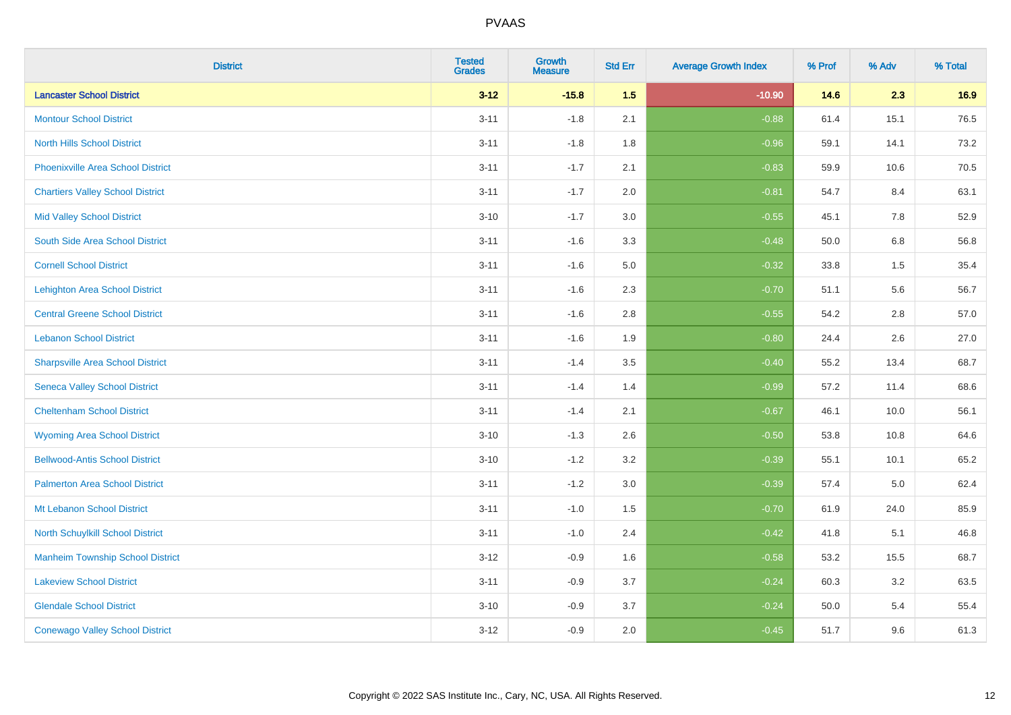| <b>District</b>                          | <b>Tested</b><br><b>Grades</b> | Growth<br><b>Measure</b> | <b>Std Err</b> | <b>Average Growth Index</b> | % Prof | % Adv   | % Total |
|------------------------------------------|--------------------------------|--------------------------|----------------|-----------------------------|--------|---------|---------|
| <b>Lancaster School District</b>         | $3 - 12$                       | $-15.8$                  | 1.5            | $-10.90$                    | 14.6   | 2.3     | 16.9    |
| <b>Montour School District</b>           | $3 - 11$                       | $-1.8$                   | 2.1            | $-0.88$                     | 61.4   | 15.1    | 76.5    |
| <b>North Hills School District</b>       | $3 - 11$                       | $-1.8$                   | 1.8            | $-0.96$                     | 59.1   | 14.1    | 73.2    |
| <b>Phoenixville Area School District</b> | $3 - 11$                       | $-1.7$                   | 2.1            | $-0.83$                     | 59.9   | 10.6    | 70.5    |
| <b>Chartiers Valley School District</b>  | $3 - 11$                       | $-1.7$                   | 2.0            | $-0.81$                     | 54.7   | 8.4     | 63.1    |
| <b>Mid Valley School District</b>        | $3 - 10$                       | $-1.7$                   | 3.0            | $-0.55$                     | 45.1   | 7.8     | 52.9    |
| South Side Area School District          | $3 - 11$                       | $-1.6$                   | 3.3            | $-0.48$                     | 50.0   | $6.8\,$ | 56.8    |
| <b>Cornell School District</b>           | $3 - 11$                       | $-1.6$                   | 5.0            | $-0.32$                     | 33.8   | 1.5     | 35.4    |
| <b>Lehighton Area School District</b>    | $3 - 11$                       | $-1.6$                   | 2.3            | $-0.70$                     | 51.1   | 5.6     | 56.7    |
| <b>Central Greene School District</b>    | $3 - 11$                       | $-1.6$                   | 2.8            | $-0.55$                     | 54.2   | 2.8     | 57.0    |
| <b>Lebanon School District</b>           | $3 - 11$                       | $-1.6$                   | 1.9            | $-0.80$                     | 24.4   | 2.6     | 27.0    |
| <b>Sharpsville Area School District</b>  | $3 - 11$                       | $-1.4$                   | 3.5            | $-0.40$                     | 55.2   | 13.4    | 68.7    |
| <b>Seneca Valley School District</b>     | $3 - 11$                       | $-1.4$                   | 1.4            | $-0.99$                     | 57.2   | 11.4    | 68.6    |
| <b>Cheltenham School District</b>        | $3 - 11$                       | $-1.4$                   | 2.1            | $-0.67$                     | 46.1   | 10.0    | 56.1    |
| <b>Wyoming Area School District</b>      | $3 - 10$                       | $-1.3$                   | 2.6            | $-0.50$                     | 53.8   | 10.8    | 64.6    |
| <b>Bellwood-Antis School District</b>    | $3 - 10$                       | $-1.2$                   | 3.2            | $-0.39$                     | 55.1   | 10.1    | 65.2    |
| <b>Palmerton Area School District</b>    | $3 - 11$                       | $-1.2$                   | 3.0            | $-0.39$                     | 57.4   | 5.0     | 62.4    |
| Mt Lebanon School District               | $3 - 11$                       | $-1.0$                   | 1.5            | $-0.70$                     | 61.9   | 24.0    | 85.9    |
| <b>North Schuylkill School District</b>  | $3 - 11$                       | $-1.0$                   | 2.4            | $-0.42$                     | 41.8   | 5.1     | 46.8    |
| <b>Manheim Township School District</b>  | $3 - 12$                       | $-0.9$                   | 1.6            | $-0.58$                     | 53.2   | 15.5    | 68.7    |
| <b>Lakeview School District</b>          | $3 - 11$                       | $-0.9$                   | 3.7            | $-0.24$                     | 60.3   | $3.2\,$ | 63.5    |
| <b>Glendale School District</b>          | $3 - 10$                       | $-0.9$                   | 3.7            | $-0.24$                     | 50.0   | 5.4     | 55.4    |
| <b>Conewago Valley School District</b>   | $3 - 12$                       | $-0.9$                   | 2.0            | $-0.45$                     | 51.7   | 9.6     | 61.3    |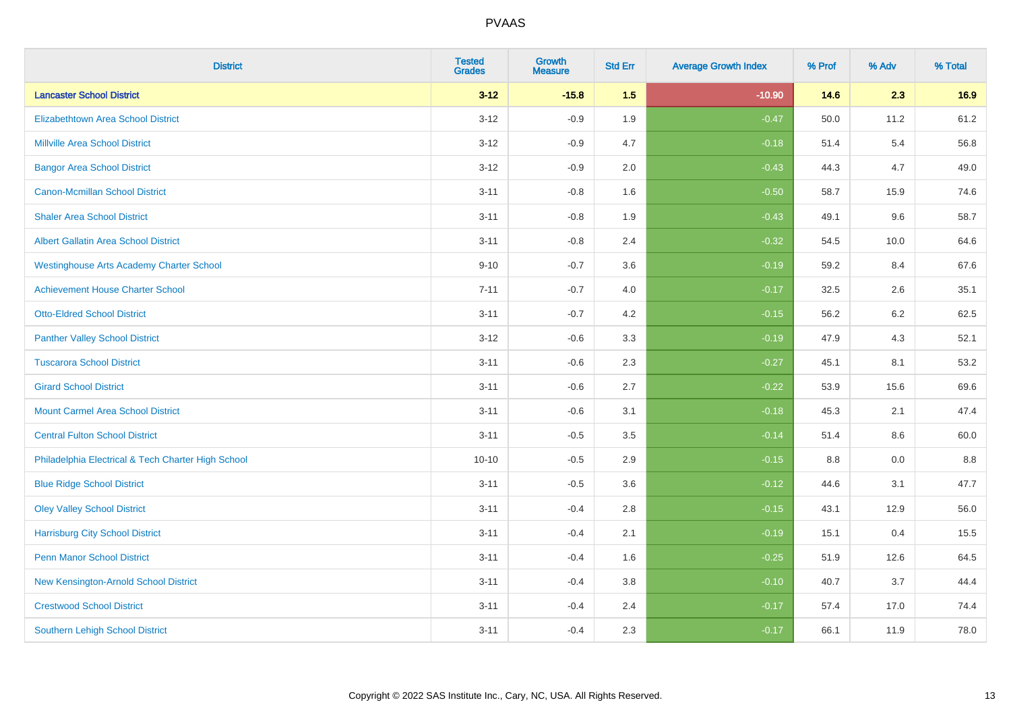| <b>District</b>                                    | <b>Tested</b><br><b>Grades</b> | <b>Growth</b><br><b>Measure</b> | <b>Std Err</b> | <b>Average Growth Index</b> | % Prof | % Adv | % Total |
|----------------------------------------------------|--------------------------------|---------------------------------|----------------|-----------------------------|--------|-------|---------|
| <b>Lancaster School District</b>                   | $3 - 12$                       | $-15.8$                         | 1.5            | $-10.90$                    | 14.6   | 2.3   | 16.9    |
| <b>Elizabethtown Area School District</b>          | $3 - 12$                       | $-0.9$                          | 1.9            | $-0.47$                     | 50.0   | 11.2  | 61.2    |
| <b>Millville Area School District</b>              | $3 - 12$                       | $-0.9$                          | 4.7            | $-0.18$                     | 51.4   | 5.4   | 56.8    |
| <b>Bangor Area School District</b>                 | $3 - 12$                       | $-0.9$                          | 2.0            | $-0.43$                     | 44.3   | 4.7   | 49.0    |
| <b>Canon-Mcmillan School District</b>              | $3 - 11$                       | $-0.8$                          | 1.6            | $-0.50$                     | 58.7   | 15.9  | 74.6    |
| <b>Shaler Area School District</b>                 | $3 - 11$                       | $-0.8$                          | 1.9            | $-0.43$                     | 49.1   | 9.6   | 58.7    |
| Albert Gallatin Area School District               | $3 - 11$                       | $-0.8$                          | 2.4            | $-0.32$                     | 54.5   | 10.0  | 64.6    |
| <b>Westinghouse Arts Academy Charter School</b>    | $9 - 10$                       | $-0.7$                          | 3.6            | $-0.19$                     | 59.2   | 8.4   | 67.6    |
| <b>Achievement House Charter School</b>            | $7 - 11$                       | $-0.7$                          | 4.0            | $-0.17$                     | 32.5   | 2.6   | 35.1    |
| <b>Otto-Eldred School District</b>                 | $3 - 11$                       | $-0.7$                          | 4.2            | $-0.15$                     | 56.2   | 6.2   | 62.5    |
| <b>Panther Valley School District</b>              | $3 - 12$                       | $-0.6$                          | 3.3            | $-0.19$                     | 47.9   | 4.3   | 52.1    |
| <b>Tuscarora School District</b>                   | $3 - 11$                       | $-0.6$                          | 2.3            | $-0.27$                     | 45.1   | 8.1   | 53.2    |
| <b>Girard School District</b>                      | $3 - 11$                       | $-0.6$                          | 2.7            | $-0.22$                     | 53.9   | 15.6  | 69.6    |
| <b>Mount Carmel Area School District</b>           | $3 - 11$                       | $-0.6$                          | 3.1            | $-0.18$                     | 45.3   | 2.1   | 47.4    |
| <b>Central Fulton School District</b>              | $3 - 11$                       | $-0.5$                          | 3.5            | $-0.14$                     | 51.4   | 8.6   | 60.0    |
| Philadelphia Electrical & Tech Charter High School | $10 - 10$                      | $-0.5$                          | 2.9            | $-0.15$                     | 8.8    | 0.0   | $8.8\,$ |
| <b>Blue Ridge School District</b>                  | $3 - 11$                       | $-0.5$                          | 3.6            | $-0.12$                     | 44.6   | 3.1   | 47.7    |
| <b>Oley Valley School District</b>                 | $3 - 11$                       | $-0.4$                          | 2.8            | $-0.15$                     | 43.1   | 12.9  | 56.0    |
| <b>Harrisburg City School District</b>             | $3 - 11$                       | $-0.4$                          | 2.1            | $-0.19$                     | 15.1   | 0.4   | 15.5    |
| <b>Penn Manor School District</b>                  | $3 - 11$                       | $-0.4$                          | 1.6            | $-0.25$                     | 51.9   | 12.6  | 64.5    |
| New Kensington-Arnold School District              | $3 - 11$                       | $-0.4$                          | 3.8            | $-0.10$                     | 40.7   | 3.7   | 44.4    |
| <b>Crestwood School District</b>                   | $3 - 11$                       | $-0.4$                          | 2.4            | $-0.17$                     | 57.4   | 17.0  | 74.4    |
| <b>Southern Lehigh School District</b>             | $3 - 11$                       | $-0.4$                          | 2.3            | $-0.17$                     | 66.1   | 11.9  | 78.0    |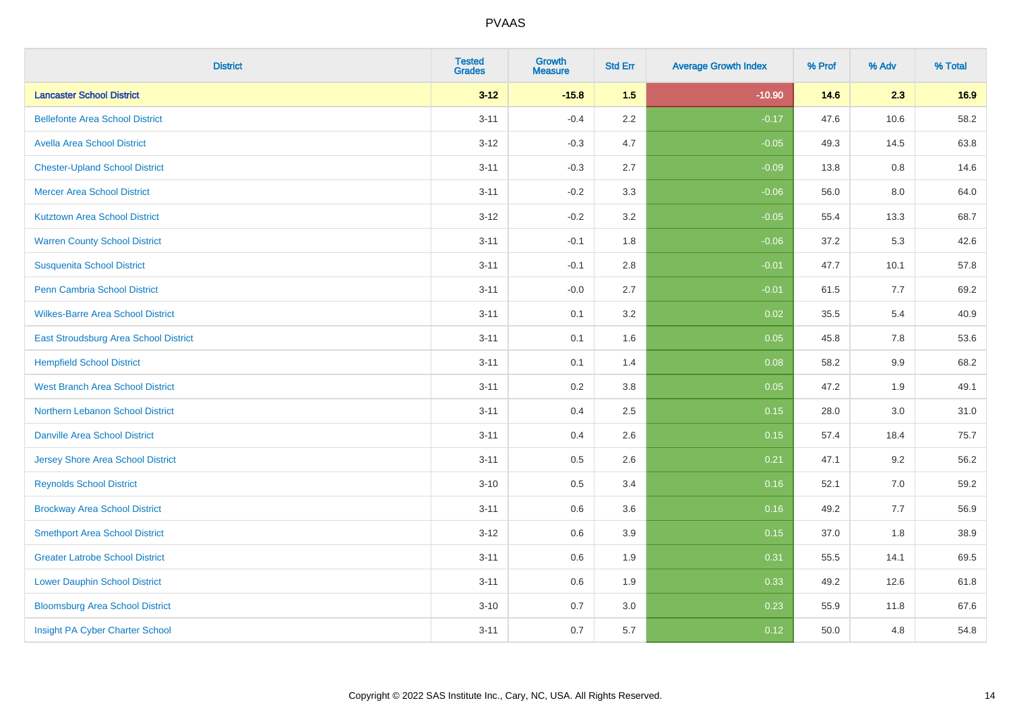| <b>District</b>                          | <b>Tested</b><br><b>Grades</b> | Growth<br><b>Measure</b> | <b>Std Err</b> | <b>Average Growth Index</b> | % Prof | % Adv | % Total |
|------------------------------------------|--------------------------------|--------------------------|----------------|-----------------------------|--------|-------|---------|
| <b>Lancaster School District</b>         | $3 - 12$                       | $-15.8$                  | 1.5            | $-10.90$                    | 14.6   | 2.3   | 16.9    |
| <b>Bellefonte Area School District</b>   | $3 - 11$                       | $-0.4$                   | 2.2            | $-0.17$                     | 47.6   | 10.6  | 58.2    |
| <b>Avella Area School District</b>       | $3 - 12$                       | $-0.3$                   | 4.7            | $-0.05$                     | 49.3   | 14.5  | 63.8    |
| <b>Chester-Upland School District</b>    | $3 - 11$                       | $-0.3$                   | 2.7            | $-0.09$                     | 13.8   | 0.8   | 14.6    |
| <b>Mercer Area School District</b>       | $3 - 11$                       | $-0.2$                   | 3.3            | $-0.06$                     | 56.0   | 8.0   | 64.0    |
| <b>Kutztown Area School District</b>     | $3 - 12$                       | $-0.2$                   | 3.2            | $-0.05$                     | 55.4   | 13.3  | 68.7    |
| <b>Warren County School District</b>     | $3 - 11$                       | $-0.1$                   | 1.8            | $-0.06$                     | 37.2   | 5.3   | 42.6    |
| <b>Susquenita School District</b>        | $3 - 11$                       | $-0.1$                   | 2.8            | $-0.01$                     | 47.7   | 10.1  | 57.8    |
| <b>Penn Cambria School District</b>      | $3 - 11$                       | $-0.0$                   | 2.7            | $-0.01$                     | 61.5   | 7.7   | 69.2    |
| <b>Wilkes-Barre Area School District</b> | $3 - 11$                       | 0.1                      | 3.2            | 0.02                        | 35.5   | 5.4   | 40.9    |
| East Stroudsburg Area School District    | $3 - 11$                       | 0.1                      | 1.6            | 0.05                        | 45.8   | 7.8   | 53.6    |
| <b>Hempfield School District</b>         | $3 - 11$                       | 0.1                      | 1.4            | 0.08                        | 58.2   | 9.9   | 68.2    |
| <b>West Branch Area School District</b>  | $3 - 11$                       | 0.2                      | 3.8            | 0.05                        | 47.2   | 1.9   | 49.1    |
| Northern Lebanon School District         | $3 - 11$                       | 0.4                      | 2.5            | 0.15                        | 28.0   | 3.0   | 31.0    |
| <b>Danville Area School District</b>     | $3 - 11$                       | 0.4                      | 2.6            | 0.15                        | 57.4   | 18.4  | 75.7    |
| Jersey Shore Area School District        | $3 - 11$                       | 0.5                      | 2.6            | 0.21                        | 47.1   | 9.2   | 56.2    |
| <b>Reynolds School District</b>          | $3 - 10$                       | 0.5                      | 3.4            | 0.16                        | 52.1   | 7.0   | 59.2    |
| <b>Brockway Area School District</b>     | $3 - 11$                       | 0.6                      | 3.6            | 0.16                        | 49.2   | 7.7   | 56.9    |
| <b>Smethport Area School District</b>    | $3 - 12$                       | 0.6                      | 3.9            | 0.15                        | 37.0   | 1.8   | 38.9    |
| <b>Greater Latrobe School District</b>   | $3 - 11$                       | 0.6                      | 1.9            | 0.31                        | 55.5   | 14.1  | 69.5    |
| <b>Lower Dauphin School District</b>     | $3 - 11$                       | 0.6                      | 1.9            | 0.33                        | 49.2   | 12.6  | 61.8    |
| <b>Bloomsburg Area School District</b>   | $3 - 10$                       | 0.7                      | 3.0            | 0.23                        | 55.9   | 11.8  | 67.6    |
| Insight PA Cyber Charter School          | $3 - 11$                       | 0.7                      | 5.7            | 0.12                        | 50.0   | 4.8   | 54.8    |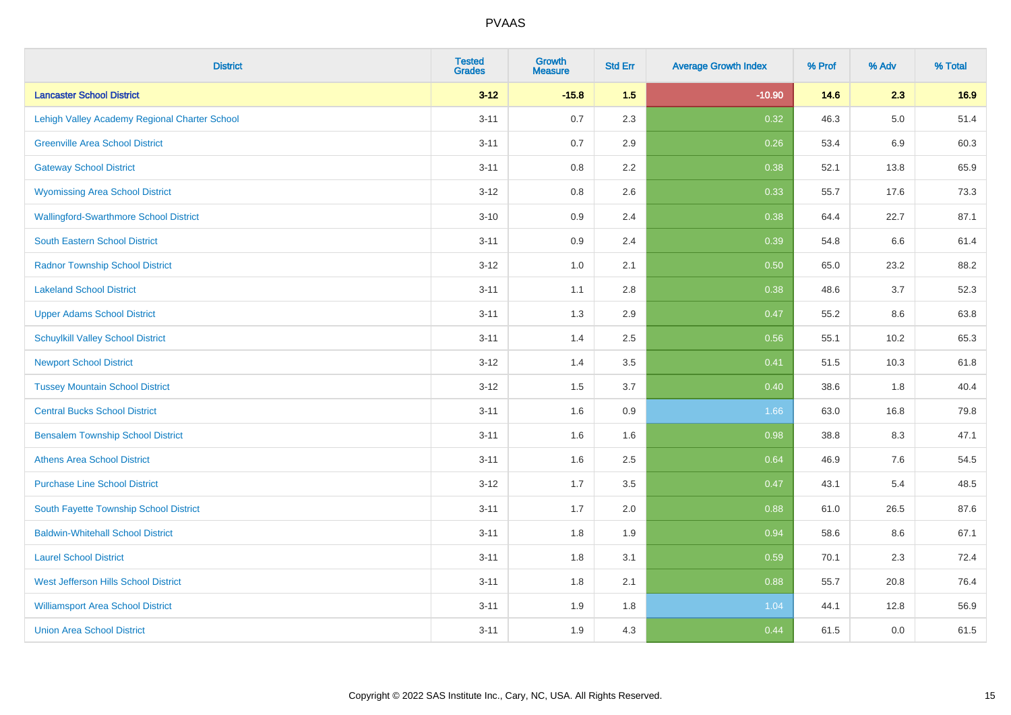| <b>District</b>                               | <b>Tested</b><br><b>Grades</b> | <b>Growth</b><br><b>Measure</b> | <b>Std Err</b> | <b>Average Growth Index</b> | % Prof | % Adv   | % Total |
|-----------------------------------------------|--------------------------------|---------------------------------|----------------|-----------------------------|--------|---------|---------|
| <b>Lancaster School District</b>              | $3 - 12$                       | $-15.8$                         | 1.5            | $-10.90$                    | 14.6   | 2.3     | 16.9    |
| Lehigh Valley Academy Regional Charter School | $3 - 11$                       | 0.7                             | 2.3            | 0.32                        | 46.3   | $5.0\,$ | 51.4    |
| <b>Greenville Area School District</b>        | $3 - 11$                       | 0.7                             | 2.9            | 0.26                        | 53.4   | 6.9     | 60.3    |
| <b>Gateway School District</b>                | $3 - 11$                       | $0.8\,$                         | 2.2            | 0.38                        | 52.1   | 13.8    | 65.9    |
| <b>Wyomissing Area School District</b>        | $3 - 12$                       | 0.8                             | 2.6            | 0.33                        | 55.7   | 17.6    | 73.3    |
| <b>Wallingford-Swarthmore School District</b> | $3 - 10$                       | 0.9                             | 2.4            | 0.38                        | 64.4   | 22.7    | 87.1    |
| South Eastern School District                 | $3 - 11$                       | 0.9                             | 2.4            | 0.39                        | 54.8   | 6.6     | 61.4    |
| <b>Radnor Township School District</b>        | $3 - 12$                       | $1.0\,$                         | 2.1            | 0.50                        | 65.0   | 23.2    | 88.2    |
| <b>Lakeland School District</b>               | $3 - 11$                       | 1.1                             | 2.8            | 0.38                        | 48.6   | 3.7     | 52.3    |
| <b>Upper Adams School District</b>            | $3 - 11$                       | 1.3                             | 2.9            | 0.47                        | 55.2   | 8.6     | 63.8    |
| <b>Schuylkill Valley School District</b>      | $3 - 11$                       | 1.4                             | 2.5            | 0.56                        | 55.1   | 10.2    | 65.3    |
| <b>Newport School District</b>                | $3 - 12$                       | 1.4                             | 3.5            | 0.41                        | 51.5   | 10.3    | 61.8    |
| <b>Tussey Mountain School District</b>        | $3 - 12$                       | 1.5                             | 3.7            | 0.40                        | 38.6   | 1.8     | 40.4    |
| <b>Central Bucks School District</b>          | $3 - 11$                       | 1.6                             | 0.9            | 1.66                        | 63.0   | 16.8    | 79.8    |
| <b>Bensalem Township School District</b>      | $3 - 11$                       | 1.6                             | 1.6            | 0.98                        | 38.8   | 8.3     | 47.1    |
| <b>Athens Area School District</b>            | $3 - 11$                       | 1.6                             | 2.5            | 0.64                        | 46.9   | 7.6     | 54.5    |
| <b>Purchase Line School District</b>          | $3-12$                         | 1.7                             | 3.5            | 0.47                        | 43.1   | 5.4     | 48.5    |
| South Fayette Township School District        | $3 - 11$                       | 1.7                             | 2.0            | 0.88                        | 61.0   | 26.5    | 87.6    |
| <b>Baldwin-Whitehall School District</b>      | $3 - 11$                       | 1.8                             | 1.9            | 0.94                        | 58.6   | $8.6\,$ | 67.1    |
| <b>Laurel School District</b>                 | $3 - 11$                       | 1.8                             | 3.1            | 0.59                        | 70.1   | 2.3     | 72.4    |
| <b>West Jefferson Hills School District</b>   | $3 - 11$                       | 1.8                             | 2.1            | 0.88                        | 55.7   | 20.8    | 76.4    |
| <b>Williamsport Area School District</b>      | $3 - 11$                       | 1.9                             | 1.8            | 1.04                        | 44.1   | 12.8    | 56.9    |
| <b>Union Area School District</b>             | $3 - 11$                       | 1.9                             | 4.3            | 0.44                        | 61.5   | 0.0     | 61.5    |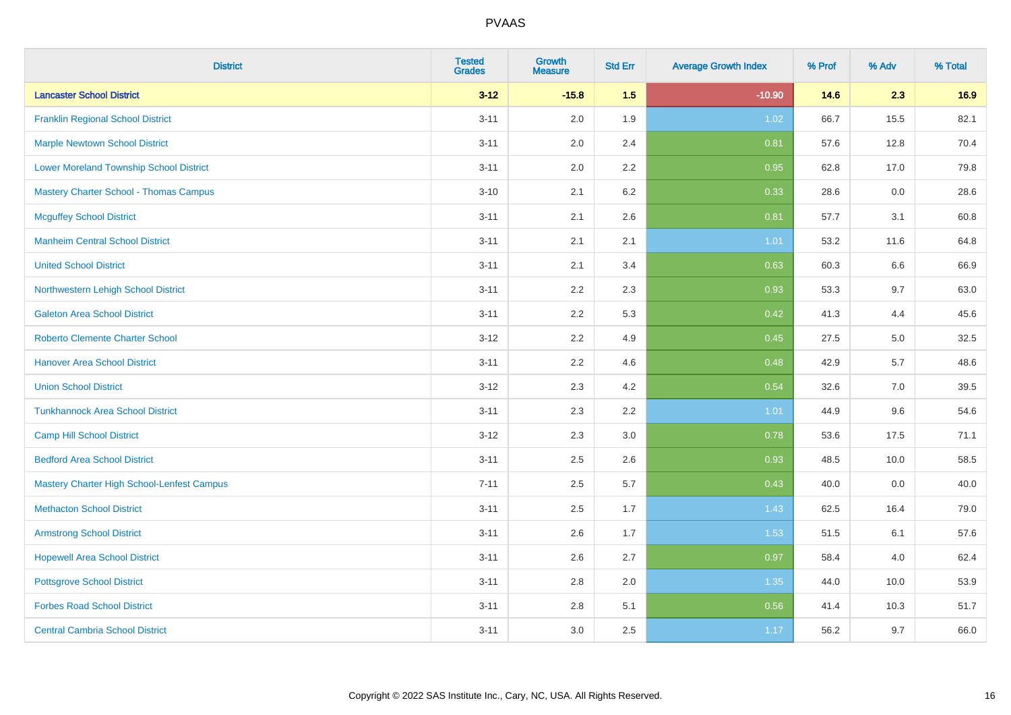| <b>District</b>                                | <b>Tested</b><br><b>Grades</b> | <b>Growth</b><br><b>Measure</b> | <b>Std Err</b> | <b>Average Growth Index</b> | % Prof | % Adv | % Total |
|------------------------------------------------|--------------------------------|---------------------------------|----------------|-----------------------------|--------|-------|---------|
| <b>Lancaster School District</b>               | $3 - 12$                       | $-15.8$                         | 1.5            | $-10.90$                    | 14.6   | 2.3   | 16.9    |
| <b>Franklin Regional School District</b>       | $3 - 11$                       | 2.0                             | 1.9            | 1.02                        | 66.7   | 15.5  | 82.1    |
| <b>Marple Newtown School District</b>          | $3 - 11$                       | 2.0                             | 2.4            | 0.81                        | 57.6   | 12.8  | 70.4    |
| <b>Lower Moreland Township School District</b> | $3 - 11$                       | 2.0                             | 2.2            | 0.95                        | 62.8   | 17.0  | 79.8    |
| <b>Mastery Charter School - Thomas Campus</b>  | $3 - 10$                       | 2.1                             | 6.2            | 0.33                        | 28.6   | 0.0   | 28.6    |
| <b>Mcguffey School District</b>                | $3 - 11$                       | 2.1                             | 2.6            | 0.81                        | 57.7   | 3.1   | 60.8    |
| <b>Manheim Central School District</b>         | $3 - 11$                       | 2.1                             | 2.1            | $1.01$                      | 53.2   | 11.6  | 64.8    |
| <b>United School District</b>                  | $3 - 11$                       | 2.1                             | 3.4            | 0.63                        | 60.3   | 6.6   | 66.9    |
| Northwestern Lehigh School District            | $3 - 11$                       | 2.2                             | 2.3            | 0.93                        | 53.3   | 9.7   | 63.0    |
| <b>Galeton Area School District</b>            | $3 - 11$                       | 2.2                             | 5.3            | 0.42                        | 41.3   | 4.4   | 45.6    |
| <b>Roberto Clemente Charter School</b>         | $3 - 12$                       | 2.2                             | 4.9            | 0.45                        | 27.5   | 5.0   | 32.5    |
| <b>Hanover Area School District</b>            | $3 - 11$                       | 2.2                             | 4.6            | 0.48                        | 42.9   | 5.7   | 48.6    |
| <b>Union School District</b>                   | $3 - 12$                       | 2.3                             | 4.2            | 0.54                        | 32.6   | 7.0   | 39.5    |
| <b>Tunkhannock Area School District</b>        | $3 - 11$                       | 2.3                             | 2.2            | 1.01                        | 44.9   | 9.6   | 54.6    |
| <b>Camp Hill School District</b>               | $3 - 12$                       | 2.3                             | 3.0            | 0.78                        | 53.6   | 17.5  | 71.1    |
| <b>Bedford Area School District</b>            | $3 - 11$                       | 2.5                             | 2.6            | 0.93                        | 48.5   | 10.0  | 58.5    |
| Mastery Charter High School-Lenfest Campus     | $7 - 11$                       | 2.5                             | 5.7            | 0.43                        | 40.0   | 0.0   | 40.0    |
| <b>Methacton School District</b>               | $3 - 11$                       | 2.5                             | 1.7            | 1.43                        | 62.5   | 16.4  | 79.0    |
| <b>Armstrong School District</b>               | $3 - 11$                       | 2.6                             | 1.7            | 1.53                        | 51.5   | 6.1   | 57.6    |
| <b>Hopewell Area School District</b>           | $3 - 11$                       | 2.6                             | 2.7            | 0.97                        | 58.4   | 4.0   | 62.4    |
| <b>Pottsgrove School District</b>              | $3 - 11$                       | 2.8                             | 2.0            | 1.35                        | 44.0   | 10.0  | 53.9    |
| <b>Forbes Road School District</b>             | $3 - 11$                       | 2.8                             | 5.1            | 0.56                        | 41.4   | 10.3  | 51.7    |
| <b>Central Cambria School District</b>         | $3 - 11$                       | 3.0                             | 2.5            | 1.17                        | 56.2   | 9.7   | 66.0    |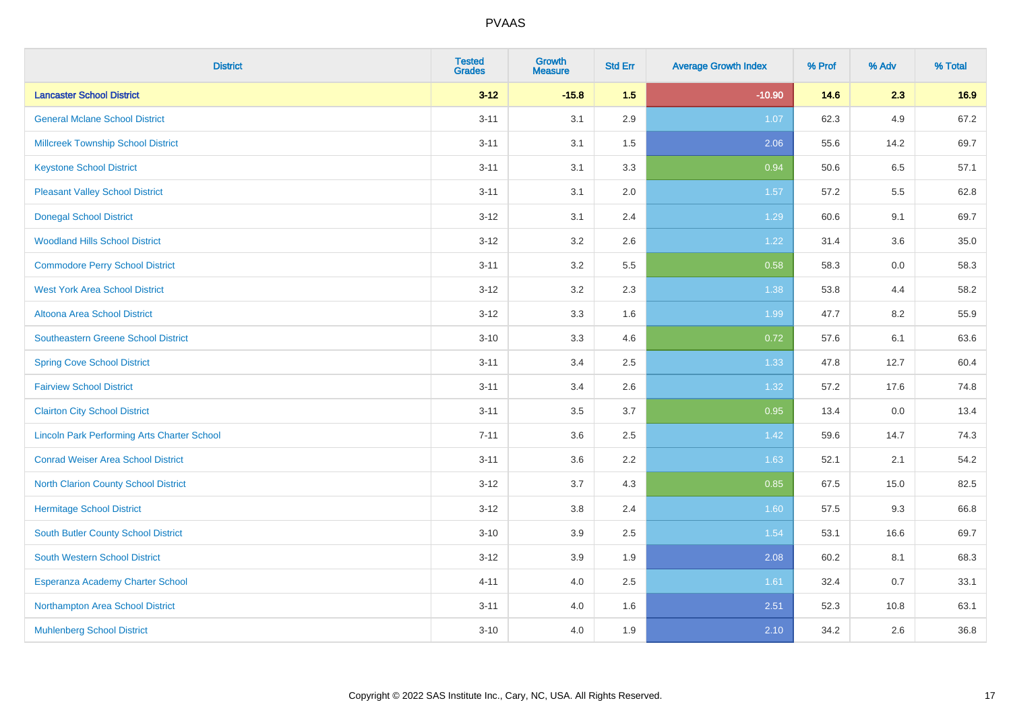| <b>District</b>                                    | <b>Tested</b><br><b>Grades</b> | <b>Growth</b><br><b>Measure</b> | <b>Std Err</b> | <b>Average Growth Index</b> | % Prof | % Adv | % Total |
|----------------------------------------------------|--------------------------------|---------------------------------|----------------|-----------------------------|--------|-------|---------|
| <b>Lancaster School District</b>                   | $3 - 12$                       | $-15.8$                         | 1.5            | $-10.90$                    | 14.6   | 2.3   | 16.9    |
| <b>General Mclane School District</b>              | $3 - 11$                       | 3.1                             | 2.9            | 1.07                        | 62.3   | 4.9   | 67.2    |
| <b>Millcreek Township School District</b>          | $3 - 11$                       | 3.1                             | 1.5            | 2.06                        | 55.6   | 14.2  | 69.7    |
| <b>Keystone School District</b>                    | $3 - 11$                       | 3.1                             | 3.3            | 0.94                        | 50.6   | 6.5   | 57.1    |
| <b>Pleasant Valley School District</b>             | $3 - 11$                       | 3.1                             | 2.0            | 1.57                        | 57.2   | 5.5   | 62.8    |
| <b>Donegal School District</b>                     | $3 - 12$                       | 3.1                             | 2.4            | 1.29                        | 60.6   | 9.1   | 69.7    |
| <b>Woodland Hills School District</b>              | $3 - 12$                       | 3.2                             | 2.6            | 1.22                        | 31.4   | 3.6   | 35.0    |
| <b>Commodore Perry School District</b>             | $3 - 11$                       | 3.2                             | 5.5            | 0.58                        | 58.3   | 0.0   | 58.3    |
| <b>West York Area School District</b>              | $3 - 12$                       | 3.2                             | 2.3            | 1.38                        | 53.8   | 4.4   | 58.2    |
| Altoona Area School District                       | $3 - 12$                       | 3.3                             | 1.6            | 1.99                        | 47.7   | 8.2   | 55.9    |
| <b>Southeastern Greene School District</b>         | $3 - 10$                       | 3.3                             | 4.6            | 0.72                        | 57.6   | 6.1   | 63.6    |
| <b>Spring Cove School District</b>                 | $3 - 11$                       | 3.4                             | 2.5            | 1.33                        | 47.8   | 12.7  | 60.4    |
| <b>Fairview School District</b>                    | $3 - 11$                       | 3.4                             | 2.6            | 1.32                        | 57.2   | 17.6  | 74.8    |
| <b>Clairton City School District</b>               | $3 - 11$                       | 3.5                             | 3.7            | 0.95                        | 13.4   | 0.0   | 13.4    |
| <b>Lincoln Park Performing Arts Charter School</b> | $7 - 11$                       | 3.6                             | 2.5            | 1.42                        | 59.6   | 14.7  | 74.3    |
| <b>Conrad Weiser Area School District</b>          | $3 - 11$                       | 3.6                             | 2.2            | 1.63                        | 52.1   | 2.1   | 54.2    |
| <b>North Clarion County School District</b>        | $3 - 12$                       | 3.7                             | 4.3            | 0.85                        | 67.5   | 15.0  | 82.5    |
| <b>Hermitage School District</b>                   | $3 - 12$                       | 3.8                             | 2.4            | 1.60                        | 57.5   | 9.3   | 66.8    |
| <b>South Butler County School District</b>         | $3 - 10$                       | 3.9                             | 2.5            | 1.54                        | 53.1   | 16.6  | 69.7    |
| South Western School District                      | $3-12$                         | 3.9                             | 1.9            | 2.08                        | 60.2   | 8.1   | 68.3    |
| Esperanza Academy Charter School                   | $4 - 11$                       | 4.0                             | 2.5            | 1.61                        | 32.4   | 0.7   | 33.1    |
| Northampton Area School District                   | $3 - 11$                       | 4.0                             | 1.6            | 2.51                        | 52.3   | 10.8  | 63.1    |
| <b>Muhlenberg School District</b>                  | $3 - 10$                       | 4.0                             | 1.9            | 2.10                        | 34.2   | 2.6   | 36.8    |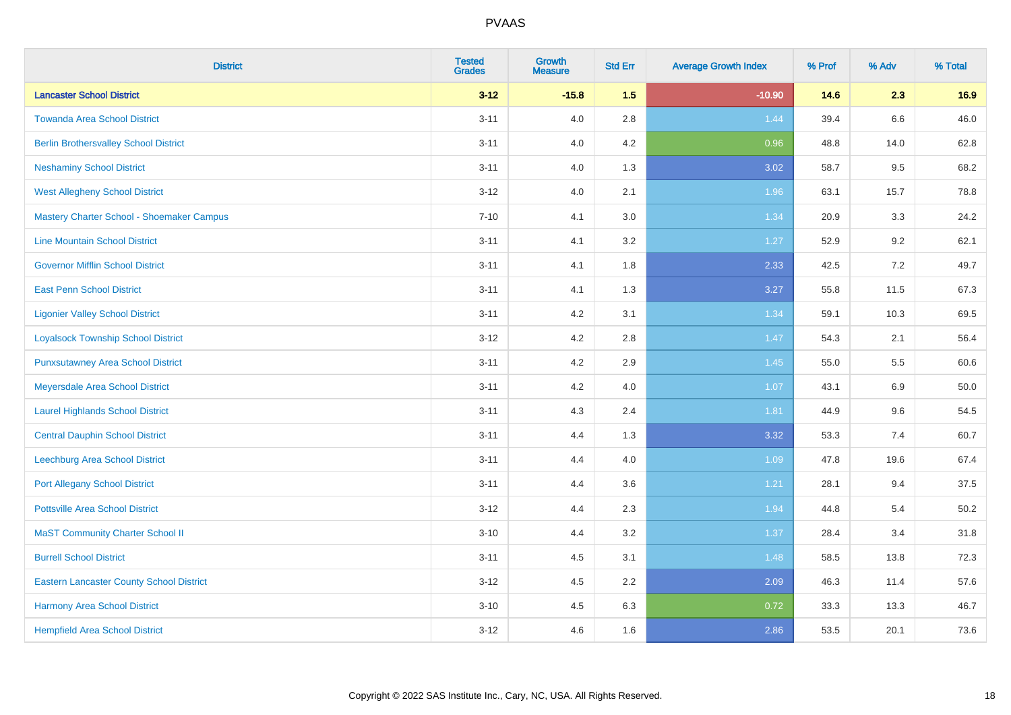| <b>District</b>                                 | <b>Tested</b><br><b>Grades</b> | <b>Growth</b><br><b>Measure</b> | <b>Std Err</b> | <b>Average Growth Index</b> | % Prof | % Adv | % Total |
|-------------------------------------------------|--------------------------------|---------------------------------|----------------|-----------------------------|--------|-------|---------|
| <b>Lancaster School District</b>                | $3 - 12$                       | $-15.8$                         | 1.5            | $-10.90$                    | 14.6   | 2.3   | 16.9    |
| <b>Towanda Area School District</b>             | $3 - 11$                       | 4.0                             | 2.8            | 1.44                        | 39.4   | 6.6   | 46.0    |
| <b>Berlin Brothersvalley School District</b>    | $3 - 11$                       | 4.0                             | 4.2            | 0.96                        | 48.8   | 14.0  | 62.8    |
| <b>Neshaminy School District</b>                | $3 - 11$                       | 4.0                             | 1.3            | 3.02                        | 58.7   | 9.5   | 68.2    |
| <b>West Allegheny School District</b>           | $3 - 12$                       | 4.0                             | 2.1            | 1.96                        | 63.1   | 15.7  | 78.8    |
| Mastery Charter School - Shoemaker Campus       | $7 - 10$                       | 4.1                             | 3.0            | 1.34                        | 20.9   | 3.3   | 24.2    |
| <b>Line Mountain School District</b>            | $3 - 11$                       | 4.1                             | 3.2            | 1.27                        | 52.9   | 9.2   | 62.1    |
| <b>Governor Mifflin School District</b>         | $3 - 11$                       | 4.1                             | 1.8            | 2.33                        | 42.5   | 7.2   | 49.7    |
| <b>East Penn School District</b>                | $3 - 11$                       | 4.1                             | 1.3            | 3.27                        | 55.8   | 11.5  | 67.3    |
| <b>Ligonier Valley School District</b>          | $3 - 11$                       | 4.2                             | 3.1            | 1.34                        | 59.1   | 10.3  | 69.5    |
| <b>Loyalsock Township School District</b>       | $3 - 12$                       | 4.2                             | 2.8            | 1.47                        | 54.3   | 2.1   | 56.4    |
| <b>Punxsutawney Area School District</b>        | $3 - 11$                       | 4.2                             | 2.9            | 1.45                        | 55.0   | 5.5   | 60.6    |
| Meyersdale Area School District                 | $3 - 11$                       | 4.2                             | 4.0            | 1.07                        | 43.1   | 6.9   | 50.0    |
| <b>Laurel Highlands School District</b>         | $3 - 11$                       | 4.3                             | 2.4            | 1.81                        | 44.9   | 9.6   | 54.5    |
| <b>Central Dauphin School District</b>          | $3 - 11$                       | 4.4                             | 1.3            | 3.32                        | 53.3   | 7.4   | 60.7    |
| <b>Leechburg Area School District</b>           | $3 - 11$                       | 4.4                             | 4.0            | 1.09                        | 47.8   | 19.6  | 67.4    |
| <b>Port Allegany School District</b>            | $3 - 11$                       | 4.4                             | 3.6            | 1.21                        | 28.1   | 9.4   | 37.5    |
| <b>Pottsville Area School District</b>          | $3 - 12$                       | 4.4                             | 2.3            | 1.94                        | 44.8   | 5.4   | 50.2    |
| <b>MaST Community Charter School II</b>         | $3 - 10$                       | 4.4                             | 3.2            | 1.37                        | 28.4   | 3.4   | 31.8    |
| <b>Burrell School District</b>                  | $3 - 11$                       | 4.5                             | 3.1            | 1.48                        | 58.5   | 13.8  | 72.3    |
| <b>Eastern Lancaster County School District</b> | $3-12$                         | 4.5                             | 2.2            | 2.09                        | 46.3   | 11.4  | 57.6    |
| <b>Harmony Area School District</b>             | $3 - 10$                       | 4.5                             | 6.3            | 0.72                        | 33.3   | 13.3  | 46.7    |
| <b>Hempfield Area School District</b>           | $3 - 12$                       | 4.6                             | 1.6            | 2.86                        | 53.5   | 20.1  | 73.6    |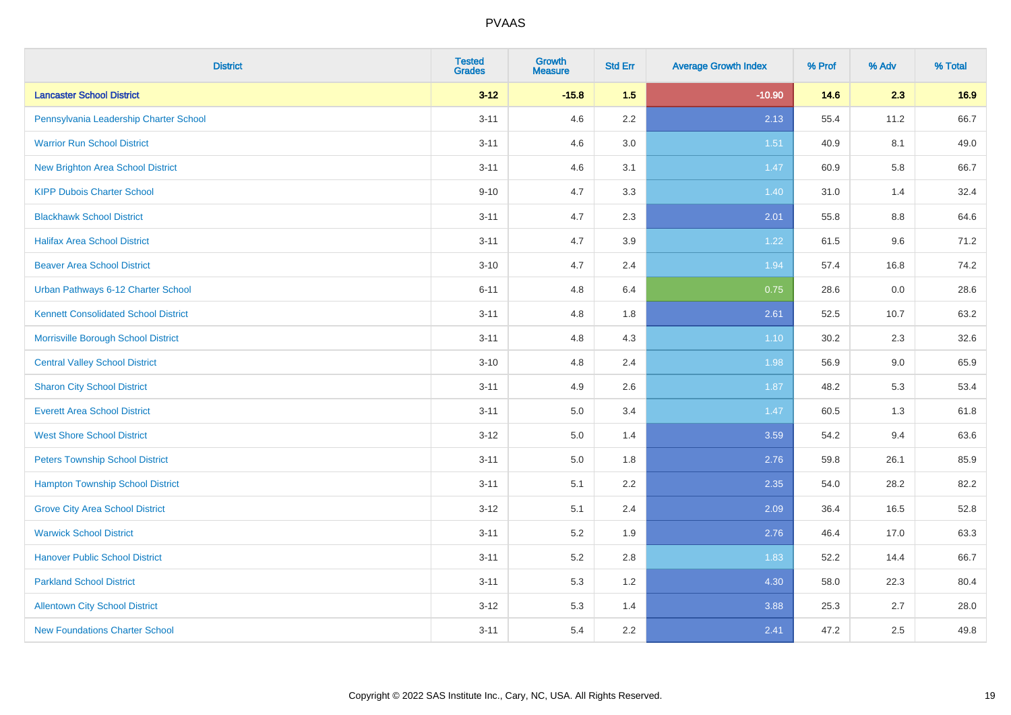| <b>District</b>                             | <b>Tested</b><br><b>Grades</b> | <b>Growth</b><br><b>Measure</b> | <b>Std Err</b> | <b>Average Growth Index</b> | % Prof | % Adv   | % Total |
|---------------------------------------------|--------------------------------|---------------------------------|----------------|-----------------------------|--------|---------|---------|
| <b>Lancaster School District</b>            | $3 - 12$                       | $-15.8$                         | 1.5            | $-10.90$                    | 14.6   | 2.3     | 16.9    |
| Pennsylvania Leadership Charter School      | $3 - 11$                       | 4.6                             | 2.2            | 2.13                        | 55.4   | 11.2    | 66.7    |
| <b>Warrior Run School District</b>          | $3 - 11$                       | 4.6                             | 3.0            | 1.51                        | 40.9   | 8.1     | 49.0    |
| <b>New Brighton Area School District</b>    | $3 - 11$                       | 4.6                             | 3.1            | 1.47                        | 60.9   | 5.8     | 66.7    |
| <b>KIPP Dubois Charter School</b>           | $9 - 10$                       | 4.7                             | 3.3            | 1.40                        | 31.0   | 1.4     | 32.4    |
| <b>Blackhawk School District</b>            | $3 - 11$                       | 4.7                             | 2.3            | 2.01                        | 55.8   | $8.8\,$ | 64.6    |
| <b>Halifax Area School District</b>         | $3 - 11$                       | 4.7                             | 3.9            | 1.22                        | 61.5   | 9.6     | 71.2    |
| <b>Beaver Area School District</b>          | $3 - 10$                       | 4.7                             | 2.4            | 1.94                        | 57.4   | 16.8    | 74.2    |
| Urban Pathways 6-12 Charter School          | $6 - 11$                       | 4.8                             | 6.4            | 0.75                        | 28.6   | 0.0     | 28.6    |
| <b>Kennett Consolidated School District</b> | $3 - 11$                       | 4.8                             | 1.8            | 2.61                        | 52.5   | 10.7    | 63.2    |
| Morrisville Borough School District         | $3 - 11$                       | 4.8                             | 4.3            | $1.10$                      | 30.2   | 2.3     | 32.6    |
| <b>Central Valley School District</b>       | $3 - 10$                       | 4.8                             | 2.4            | 1.98                        | 56.9   | 9.0     | 65.9    |
| <b>Sharon City School District</b>          | $3 - 11$                       | 4.9                             | 2.6            | 1.87                        | 48.2   | 5.3     | 53.4    |
| <b>Everett Area School District</b>         | $3 - 11$                       | 5.0                             | 3.4            | 1.47                        | 60.5   | 1.3     | 61.8    |
| <b>West Shore School District</b>           | $3 - 12$                       | 5.0                             | 1.4            | 3.59                        | 54.2   | 9.4     | 63.6    |
| <b>Peters Township School District</b>      | $3 - 11$                       | 5.0                             | 1.8            | 2.76                        | 59.8   | 26.1    | 85.9    |
| <b>Hampton Township School District</b>     | $3 - 11$                       | 5.1                             | 2.2            | 2.35                        | 54.0   | 28.2    | 82.2    |
| <b>Grove City Area School District</b>      | $3 - 12$                       | 5.1                             | 2.4            | 2.09                        | 36.4   | 16.5    | 52.8    |
| <b>Warwick School District</b>              | $3 - 11$                       | 5.2                             | 1.9            | 2.76                        | 46.4   | 17.0    | 63.3    |
| <b>Hanover Public School District</b>       | $3 - 11$                       | 5.2                             | 2.8            | 1.83                        | 52.2   | 14.4    | 66.7    |
| <b>Parkland School District</b>             | $3 - 11$                       | 5.3                             | 1.2            | 4.30                        | 58.0   | 22.3    | 80.4    |
| <b>Allentown City School District</b>       | $3 - 12$                       | 5.3                             | 1.4            | 3.88                        | 25.3   | 2.7     | 28.0    |
| <b>New Foundations Charter School</b>       | $3 - 11$                       | 5.4                             | 2.2            | 2.41                        | 47.2   | 2.5     | 49.8    |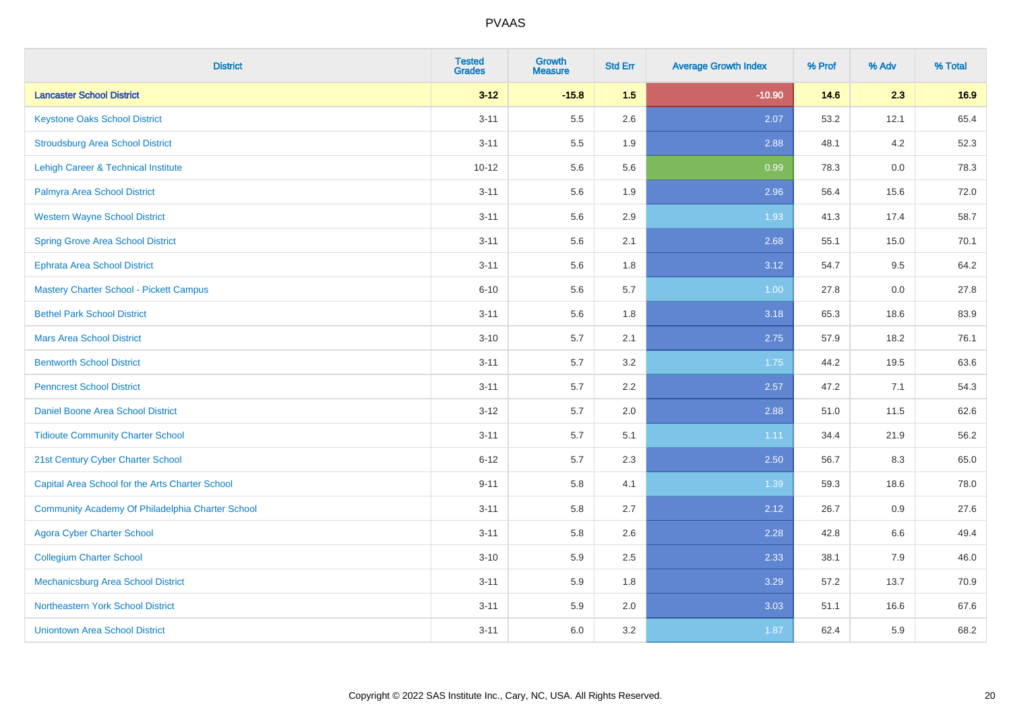| <b>District</b>                                  | <b>Tested</b><br><b>Grades</b> | <b>Growth</b><br><b>Measure</b> | <b>Std Err</b> | <b>Average Growth Index</b> | % Prof | % Adv | % Total |
|--------------------------------------------------|--------------------------------|---------------------------------|----------------|-----------------------------|--------|-------|---------|
| <b>Lancaster School District</b>                 | $3 - 12$                       | $-15.8$                         | 1.5            | $-10.90$                    | 14.6   | 2.3   | 16.9    |
| <b>Keystone Oaks School District</b>             | $3 - 11$                       | 5.5                             | 2.6            | 2.07                        | 53.2   | 12.1  | 65.4    |
| <b>Stroudsburg Area School District</b>          | $3 - 11$                       | 5.5                             | 1.9            | 2.88                        | 48.1   | 4.2   | 52.3    |
| <b>Lehigh Career &amp; Technical Institute</b>   | $10 - 12$                      | 5.6                             | 5.6            | 0.99                        | 78.3   | 0.0   | 78.3    |
| Palmyra Area School District                     | $3 - 11$                       | 5.6                             | 1.9            | 2.96                        | 56.4   | 15.6  | 72.0    |
| <b>Western Wayne School District</b>             | $3 - 11$                       | 5.6                             | 2.9            | 1.93                        | 41.3   | 17.4  | 58.7    |
| <b>Spring Grove Area School District</b>         | $3 - 11$                       | 5.6                             | 2.1            | 2.68                        | 55.1   | 15.0  | 70.1    |
| <b>Ephrata Area School District</b>              | $3 - 11$                       | 5.6                             | 1.8            | 3.12                        | 54.7   | 9.5   | 64.2    |
| Mastery Charter School - Pickett Campus          | $6 - 10$                       | 5.6                             | 5.7            | 1.00                        | 27.8   | 0.0   | 27.8    |
| <b>Bethel Park School District</b>               | $3 - 11$                       | $5.6\,$                         | 1.8            | 3.18                        | 65.3   | 18.6  | 83.9    |
| <b>Mars Area School District</b>                 | $3 - 10$                       | 5.7                             | 2.1            | 2.75                        | 57.9   | 18.2  | 76.1    |
| <b>Bentworth School District</b>                 | $3 - 11$                       | 5.7                             | 3.2            | 1.75                        | 44.2   | 19.5  | 63.6    |
| <b>Penncrest School District</b>                 | $3 - 11$                       | 5.7                             | 2.2            | 2.57                        | 47.2   | 7.1   | 54.3    |
| Daniel Boone Area School District                | $3 - 12$                       | 5.7                             | 2.0            | 2.88                        | 51.0   | 11.5  | 62.6    |
| <b>Tidioute Community Charter School</b>         | $3 - 11$                       | 5.7                             | 5.1            | 1.11                        | 34.4   | 21.9  | 56.2    |
| 21st Century Cyber Charter School                | $6 - 12$                       | 5.7                             | 2.3            | 2.50                        | 56.7   | 8.3   | 65.0    |
| Capital Area School for the Arts Charter School  | $9 - 11$                       | 5.8                             | 4.1            | 1.39                        | 59.3   | 18.6  | 78.0    |
| Community Academy Of Philadelphia Charter School | $3 - 11$                       | 5.8                             | 2.7            | 2.12                        | 26.7   | 0.9   | 27.6    |
| <b>Agora Cyber Charter School</b>                | $3 - 11$                       | 5.8                             | 2.6            | 2.28                        | 42.8   | 6.6   | 49.4    |
| <b>Collegium Charter School</b>                  | $3 - 10$                       | 5.9                             | 2.5            | 2.33                        | 38.1   | 7.9   | 46.0    |
| Mechanicsburg Area School District               | $3 - 11$                       | 5.9                             | 1.8            | 3.29                        | 57.2   | 13.7  | 70.9    |
| Northeastern York School District                | $3 - 11$                       | 5.9                             | 2.0            | 3.03                        | 51.1   | 16.6  | 67.6    |
| <b>Uniontown Area School District</b>            | $3 - 11$                       | 6.0                             | 3.2            | 1.87                        | 62.4   | 5.9   | 68.2    |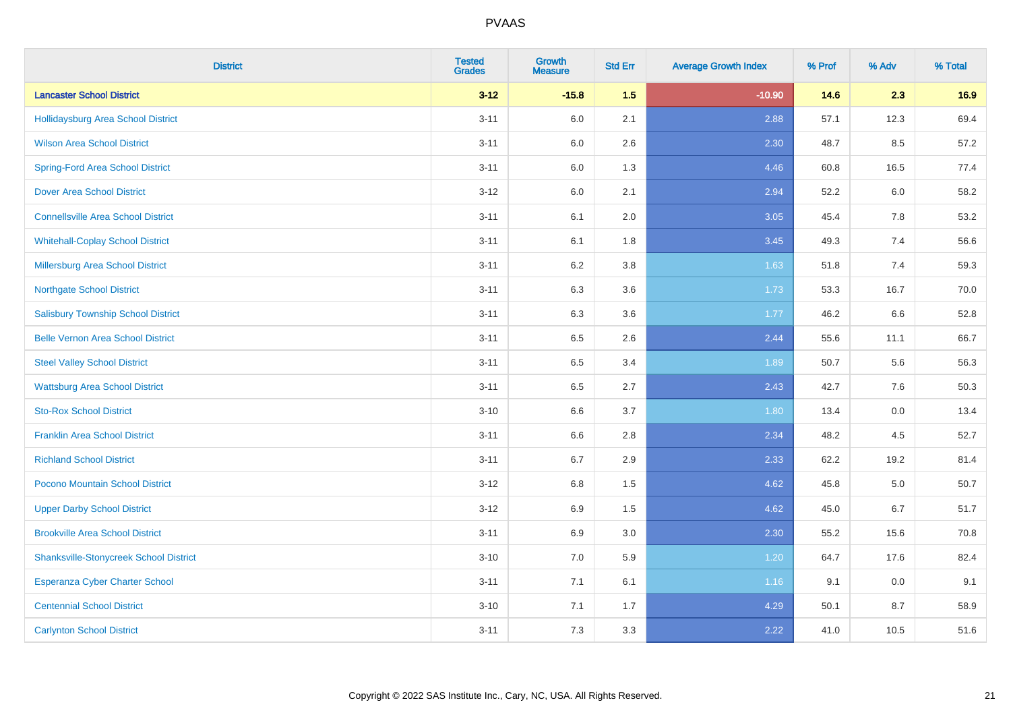| <b>District</b>                               | <b>Tested</b><br><b>Grades</b> | <b>Growth</b><br><b>Measure</b> | <b>Std Err</b> | <b>Average Growth Index</b> | % Prof | % Adv   | % Total |
|-----------------------------------------------|--------------------------------|---------------------------------|----------------|-----------------------------|--------|---------|---------|
| <b>Lancaster School District</b>              | $3 - 12$                       | $-15.8$                         | 1.5            | $-10.90$                    | 14.6   | 2.3     | 16.9    |
| Hollidaysburg Area School District            | $3 - 11$                       | 6.0                             | 2.1            | 2.88                        | 57.1   | 12.3    | 69.4    |
| <b>Wilson Area School District</b>            | $3 - 11$                       | 6.0                             | 2.6            | 2.30                        | 48.7   | 8.5     | 57.2    |
| <b>Spring-Ford Area School District</b>       | $3 - 11$                       | $6.0\,$                         | 1.3            | 4.46                        | 60.8   | 16.5    | 77.4    |
| <b>Dover Area School District</b>             | $3 - 12$                       | 6.0                             | 2.1            | 2.94                        | 52.2   | 6.0     | 58.2    |
| <b>Connellsville Area School District</b>     | $3 - 11$                       | 6.1                             | 2.0            | 3.05                        | 45.4   | 7.8     | 53.2    |
| <b>Whitehall-Coplay School District</b>       | $3 - 11$                       | 6.1                             | 1.8            | 3.45                        | 49.3   | 7.4     | 56.6    |
| <b>Millersburg Area School District</b>       | $3 - 11$                       | 6.2                             | 3.8            | 1.63                        | 51.8   | 7.4     | 59.3    |
| <b>Northgate School District</b>              | $3 - 11$                       | 6.3                             | 3.6            | 1.73                        | 53.3   | 16.7    | 70.0    |
| <b>Salisbury Township School District</b>     | $3 - 11$                       | 6.3                             | 3.6            | 1.77                        | 46.2   | 6.6     | 52.8    |
| <b>Belle Vernon Area School District</b>      | $3 - 11$                       | 6.5                             | 2.6            | 2.44                        | 55.6   | 11.1    | 66.7    |
| <b>Steel Valley School District</b>           | $3 - 11$                       | 6.5                             | 3.4            | 1.89                        | 50.7   | 5.6     | 56.3    |
| <b>Wattsburg Area School District</b>         | $3 - 11$                       | 6.5                             | 2.7            | 2.43                        | 42.7   | 7.6     | 50.3    |
| <b>Sto-Rox School District</b>                | $3 - 10$                       | 6.6                             | 3.7            | 1.80                        | 13.4   | $0.0\,$ | 13.4    |
| <b>Franklin Area School District</b>          | $3 - 11$                       | 6.6                             | 2.8            | 2.34                        | 48.2   | 4.5     | 52.7    |
| <b>Richland School District</b>               | $3 - 11$                       | 6.7                             | 2.9            | 2.33                        | 62.2   | 19.2    | 81.4    |
| Pocono Mountain School District               | $3-12$                         | 6.8                             | 1.5            | 4.62                        | 45.8   | 5.0     | 50.7    |
| <b>Upper Darby School District</b>            | $3-12$                         | 6.9                             | 1.5            | 4.62                        | 45.0   | 6.7     | 51.7    |
| <b>Brookville Area School District</b>        | $3 - 11$                       | 6.9                             | 3.0            | 2.30                        | 55.2   | 15.6    | 70.8    |
| <b>Shanksville-Stonycreek School District</b> | $3 - 10$                       | 7.0                             | 5.9            | 1.20                        | 64.7   | 17.6    | 82.4    |
| <b>Esperanza Cyber Charter School</b>         | $3 - 11$                       | 7.1                             | 6.1            | 1.16                        | 9.1    | 0.0     | 9.1     |
| <b>Centennial School District</b>             | $3 - 10$                       | 7.1                             | 1.7            | 4.29                        | 50.1   | 8.7     | 58.9    |
| <b>Carlynton School District</b>              | $3 - 11$                       | 7.3                             | 3.3            | 2.22                        | 41.0   | 10.5    | 51.6    |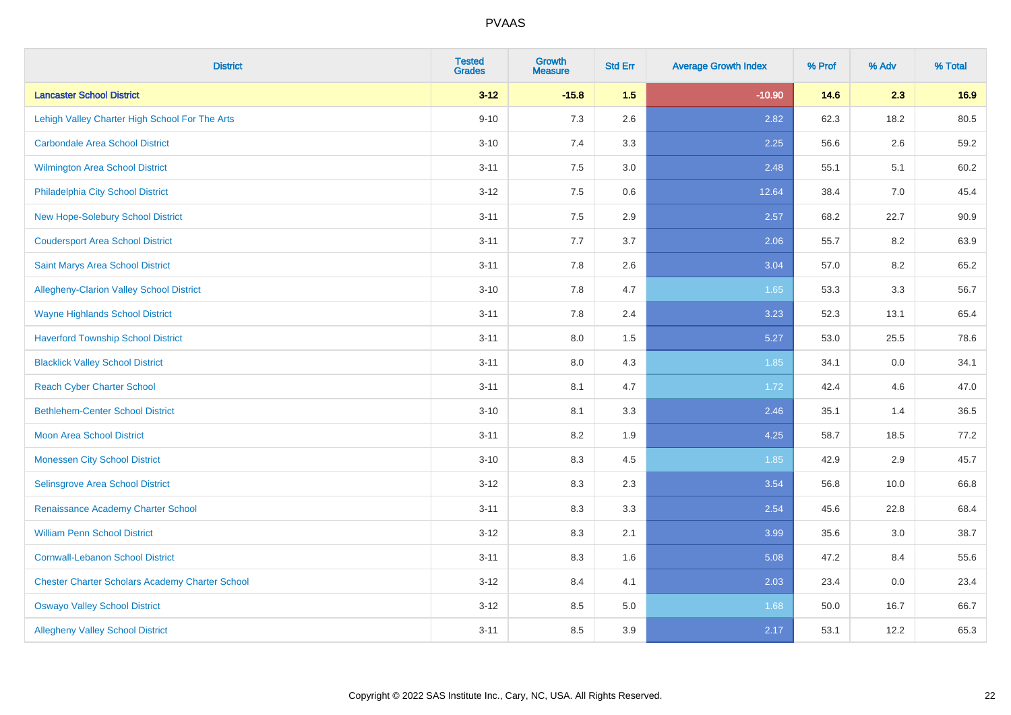| <b>District</b>                                        | <b>Tested</b><br><b>Grades</b> | <b>Growth</b><br><b>Measure</b> | <b>Std Err</b> | <b>Average Growth Index</b> | % Prof | % Adv | % Total |
|--------------------------------------------------------|--------------------------------|---------------------------------|----------------|-----------------------------|--------|-------|---------|
| <b>Lancaster School District</b>                       | $3 - 12$                       | $-15.8$                         | 1.5            | $-10.90$                    | 14.6   | 2.3   | 16.9    |
| Lehigh Valley Charter High School For The Arts         | $9 - 10$                       | 7.3                             | 2.6            | 2.82                        | 62.3   | 18.2  | 80.5    |
| <b>Carbondale Area School District</b>                 | $3 - 10$                       | 7.4                             | 3.3            | 2.25                        | 56.6   | 2.6   | 59.2    |
| Wilmington Area School District                        | $3 - 11$                       | $7.5\,$                         | 3.0            | 2.48                        | 55.1   | 5.1   | 60.2    |
| Philadelphia City School District                      | $3 - 12$                       | 7.5                             | 0.6            | 12.64                       | 38.4   | 7.0   | 45.4    |
| <b>New Hope-Solebury School District</b>               | $3 - 11$                       | 7.5                             | 2.9            | 2.57                        | 68.2   | 22.7  | 90.9    |
| <b>Coudersport Area School District</b>                | $3 - 11$                       | 7.7                             | 3.7            | 2.06                        | 55.7   | 8.2   | 63.9    |
| Saint Marys Area School District                       | $3 - 11$                       | 7.8                             | 2.6            | 3.04                        | 57.0   | 8.2   | 65.2    |
| Allegheny-Clarion Valley School District               | $3 - 10$                       | 7.8                             | 4.7            | 1.65                        | 53.3   | 3.3   | 56.7    |
| <b>Wayne Highlands School District</b>                 | $3 - 11$                       | 7.8                             | 2.4            | 3.23                        | 52.3   | 13.1  | 65.4    |
| <b>Haverford Township School District</b>              | $3 - 11$                       | 8.0                             | 1.5            | 5.27                        | 53.0   | 25.5  | 78.6    |
| <b>Blacklick Valley School District</b>                | $3 - 11$                       | 8.0                             | 4.3            | 1.85                        | 34.1   | 0.0   | 34.1    |
| <b>Reach Cyber Charter School</b>                      | $3 - 11$                       | 8.1                             | 4.7            | 1.72                        | 42.4   | 4.6   | 47.0    |
| <b>Bethlehem-Center School District</b>                | $3 - 10$                       | 8.1                             | 3.3            | 2.46                        | 35.1   | 1.4   | 36.5    |
| <b>Moon Area School District</b>                       | $3 - 11$                       | 8.2                             | 1.9            | 4.25                        | 58.7   | 18.5  | 77.2    |
| <b>Monessen City School District</b>                   | $3 - 10$                       | 8.3                             | 4.5            | 1.85                        | 42.9   | 2.9   | 45.7    |
| Selinsgrove Area School District                       | $3-12$                         | 8.3                             | 2.3            | 3.54                        | 56.8   | 10.0  | 66.8    |
| Renaissance Academy Charter School                     | $3 - 11$                       | 8.3                             | 3.3            | 2.54                        | 45.6   | 22.8  | 68.4    |
| <b>William Penn School District</b>                    | $3 - 12$                       | 8.3                             | 2.1            | 3.99                        | 35.6   | 3.0   | 38.7    |
| <b>Cornwall-Lebanon School District</b>                | $3 - 11$                       | 8.3                             | 1.6            | 5.08                        | 47.2   | 8.4   | 55.6    |
| <b>Chester Charter Scholars Academy Charter School</b> | $3 - 12$                       | 8.4                             | 4.1            | 2.03                        | 23.4   | 0.0   | 23.4    |
| <b>Oswayo Valley School District</b>                   | $3 - 12$                       | 8.5                             | 5.0            | 1.68                        | 50.0   | 16.7  | 66.7    |
| <b>Allegheny Valley School District</b>                | $3 - 11$                       | 8.5                             | 3.9            | 2.17                        | 53.1   | 12.2  | 65.3    |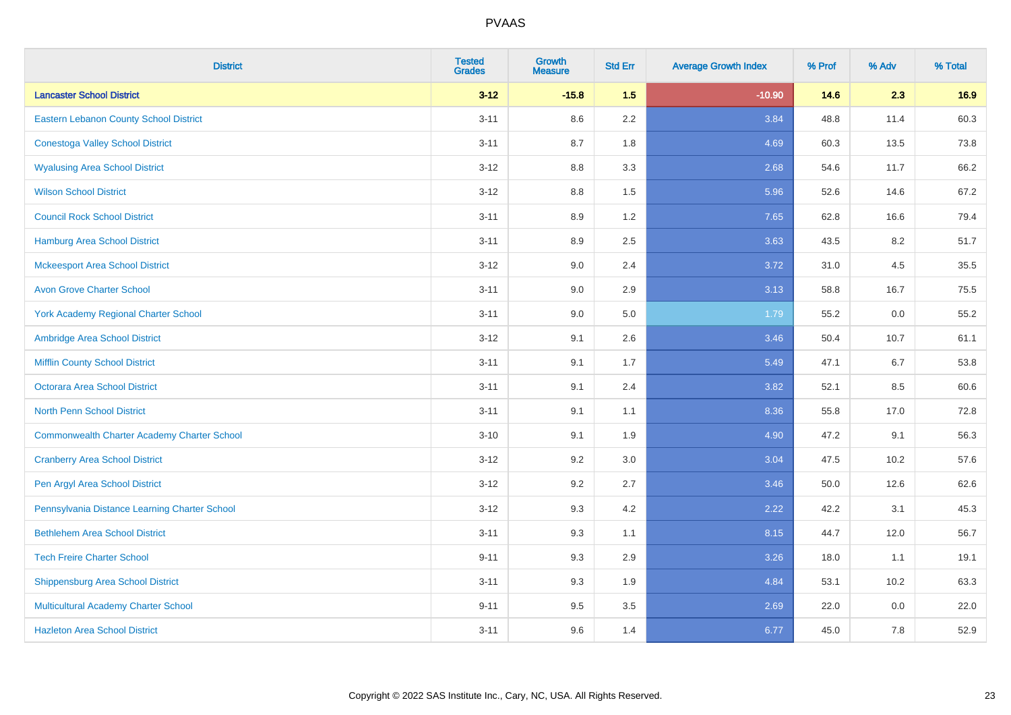| <b>District</b>                                    | <b>Tested</b><br><b>Grades</b> | <b>Growth</b><br><b>Measure</b> | <b>Std Err</b> | <b>Average Growth Index</b> | % Prof | % Adv | % Total |
|----------------------------------------------------|--------------------------------|---------------------------------|----------------|-----------------------------|--------|-------|---------|
| <b>Lancaster School District</b>                   | $3 - 12$                       | $-15.8$                         | 1.5            | $-10.90$                    | 14.6   | 2.3   | 16.9    |
| <b>Eastern Lebanon County School District</b>      | $3 - 11$                       | 8.6                             | 2.2            | 3.84                        | 48.8   | 11.4  | 60.3    |
| <b>Conestoga Valley School District</b>            | $3 - 11$                       | 8.7                             | 1.8            | 4.69                        | 60.3   | 13.5  | 73.8    |
| <b>Wyalusing Area School District</b>              | $3 - 12$                       | $8.8\,$                         | 3.3            | 2.68                        | 54.6   | 11.7  | 66.2    |
| <b>Wilson School District</b>                      | $3 - 12$                       | 8.8                             | 1.5            | 5.96                        | 52.6   | 14.6  | 67.2    |
| <b>Council Rock School District</b>                | $3 - 11$                       | 8.9                             | 1.2            | 7.65                        | 62.8   | 16.6  | 79.4    |
| <b>Hamburg Area School District</b>                | $3 - 11$                       | 8.9                             | 2.5            | 3.63                        | 43.5   | 8.2   | 51.7    |
| <b>Mckeesport Area School District</b>             | $3 - 12$                       | 9.0                             | 2.4            | 3.72                        | 31.0   | 4.5   | 35.5    |
| <b>Avon Grove Charter School</b>                   | $3 - 11$                       | 9.0                             | 2.9            | 3.13                        | 58.8   | 16.7  | 75.5    |
| <b>York Academy Regional Charter School</b>        | $3 - 11$                       | 9.0                             | 5.0            | 1.79                        | 55.2   | 0.0   | 55.2    |
| Ambridge Area School District                      | $3 - 12$                       | 9.1                             | 2.6            | 3.46                        | 50.4   | 10.7  | 61.1    |
| <b>Mifflin County School District</b>              | $3 - 11$                       | 9.1                             | 1.7            | 5.49                        | 47.1   | 6.7   | 53.8    |
| Octorara Area School District                      | $3 - 11$                       | 9.1                             | 2.4            | 3.82                        | 52.1   | 8.5   | 60.6    |
| <b>North Penn School District</b>                  | $3 - 11$                       | 9.1                             | 1.1            | 8.36                        | 55.8   | 17.0  | 72.8    |
| <b>Commonwealth Charter Academy Charter School</b> | $3 - 10$                       | 9.1                             | 1.9            | 4.90                        | 47.2   | 9.1   | 56.3    |
| <b>Cranberry Area School District</b>              | $3 - 12$                       | 9.2                             | 3.0            | 3.04                        | 47.5   | 10.2  | 57.6    |
| Pen Argyl Area School District                     | $3-12$                         | 9.2                             | 2.7            | 3.46                        | 50.0   | 12.6  | 62.6    |
| Pennsylvania Distance Learning Charter School      | $3-12$                         | 9.3                             | 4.2            | 2.22                        | 42.2   | 3.1   | 45.3    |
| <b>Bethlehem Area School District</b>              | $3 - 11$                       | 9.3                             | 1.1            | 8.15                        | 44.7   | 12.0  | 56.7    |
| <b>Tech Freire Charter School</b>                  | $9 - 11$                       | 9.3                             | 2.9            | 3.26                        | 18.0   | 1.1   | 19.1    |
| <b>Shippensburg Area School District</b>           | $3 - 11$                       | 9.3                             | 1.9            | 4.84                        | 53.1   | 10.2  | 63.3    |
| Multicultural Academy Charter School               | $9 - 11$                       | 9.5                             | 3.5            | 2.69                        | 22.0   | 0.0   | 22.0    |
| <b>Hazleton Area School District</b>               | $3 - 11$                       | 9.6                             | 1.4            | 6.77                        | 45.0   | 7.8   | 52.9    |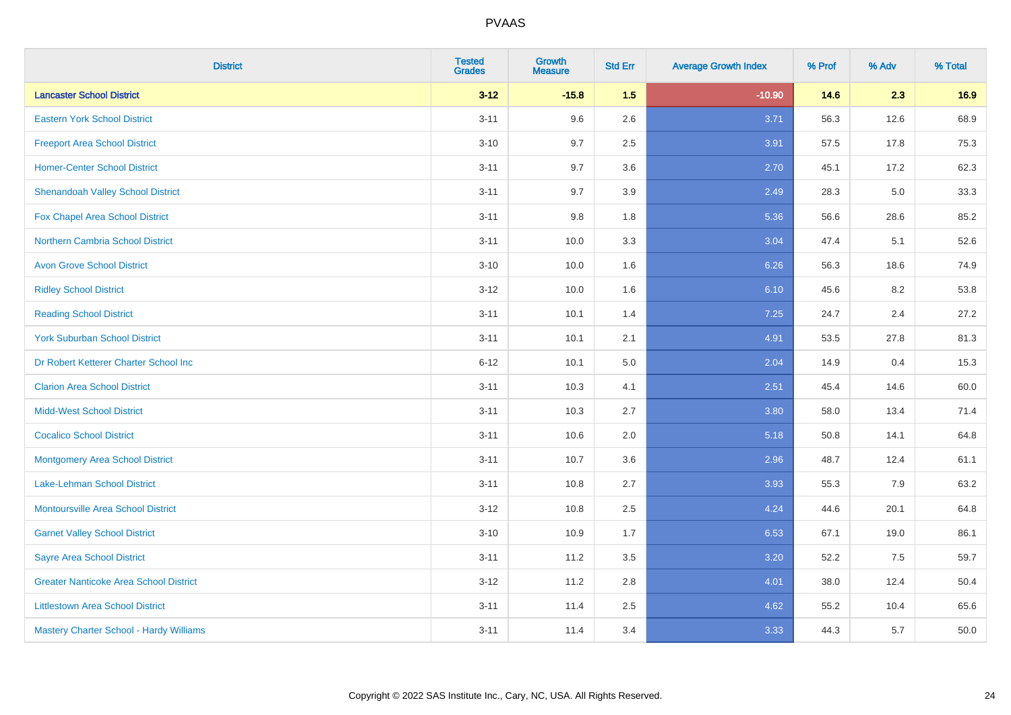| <b>District</b>                               | <b>Tested</b><br><b>Grades</b> | <b>Growth</b><br><b>Measure</b> | <b>Std Err</b> | <b>Average Growth Index</b> | % Prof | % Adv | % Total |
|-----------------------------------------------|--------------------------------|---------------------------------|----------------|-----------------------------|--------|-------|---------|
| <b>Lancaster School District</b>              | $3 - 12$                       | $-15.8$                         | 1.5            | $-10.90$                    | 14.6   | 2.3   | 16.9    |
| <b>Eastern York School District</b>           | $3 - 11$                       | 9.6                             | 2.6            | 3.71                        | 56.3   | 12.6  | 68.9    |
| <b>Freeport Area School District</b>          | $3 - 10$                       | 9.7                             | 2.5            | 3.91                        | 57.5   | 17.8  | 75.3    |
| <b>Homer-Center School District</b>           | $3 - 11$                       | 9.7                             | 3.6            | 2.70                        | 45.1   | 17.2  | 62.3    |
| <b>Shenandoah Valley School District</b>      | $3 - 11$                       | 9.7                             | 3.9            | 2.49                        | 28.3   | 5.0   | 33.3    |
| Fox Chapel Area School District               | $3 - 11$                       | 9.8                             | 1.8            | 5.36                        | 56.6   | 28.6  | 85.2    |
| Northern Cambria School District              | $3 - 11$                       | 10.0                            | 3.3            | 3.04                        | 47.4   | 5.1   | 52.6    |
| <b>Avon Grove School District</b>             | $3 - 10$                       | 10.0                            | 1.6            | 6.26                        | 56.3   | 18.6  | 74.9    |
| <b>Ridley School District</b>                 | $3 - 12$                       | 10.0                            | 1.6            | 6.10                        | 45.6   | 8.2   | 53.8    |
| <b>Reading School District</b>                | $3 - 11$                       | 10.1                            | 1.4            | 7.25                        | 24.7   | 2.4   | 27.2    |
| <b>York Suburban School District</b>          | $3 - 11$                       | 10.1                            | 2.1            | 4.91                        | 53.5   | 27.8  | 81.3    |
| Dr Robert Ketterer Charter School Inc         | $6 - 12$                       | 10.1                            | 5.0            | 2.04                        | 14.9   | 0.4   | 15.3    |
| <b>Clarion Area School District</b>           | $3 - 11$                       | 10.3                            | 4.1            | 2.51                        | 45.4   | 14.6  | 60.0    |
| <b>Midd-West School District</b>              | $3 - 11$                       | 10.3                            | 2.7            | 3.80                        | 58.0   | 13.4  | 71.4    |
| <b>Cocalico School District</b>               | $3 - 11$                       | 10.6                            | 2.0            | 5.18                        | 50.8   | 14.1  | 64.8    |
| <b>Montgomery Area School District</b>        | $3 - 11$                       | 10.7                            | 3.6            | 2.96                        | 48.7   | 12.4  | 61.1    |
| Lake-Lehman School District                   | $3 - 11$                       | 10.8                            | 2.7            | 3.93                        | 55.3   | 7.9   | 63.2    |
| <b>Montoursville Area School District</b>     | $3 - 12$                       | 10.8                            | 2.5            | 4.24                        | 44.6   | 20.1  | 64.8    |
| <b>Garnet Valley School District</b>          | $3 - 10$                       | 10.9                            | 1.7            | 6.53                        | 67.1   | 19.0  | 86.1    |
| <b>Sayre Area School District</b>             | $3 - 11$                       | 11.2                            | 3.5            | 3.20                        | 52.2   | 7.5   | 59.7    |
| <b>Greater Nanticoke Area School District</b> | $3-12$                         | 11.2                            | 2.8            | 4.01                        | 38.0   | 12.4  | 50.4    |
| <b>Littlestown Area School District</b>       | $3 - 11$                       | 11.4                            | 2.5            | 4.62                        | 55.2   | 10.4  | 65.6    |
| Mastery Charter School - Hardy Williams       | $3 - 11$                       | 11.4                            | 3.4            | 3.33                        | 44.3   | 5.7   | 50.0    |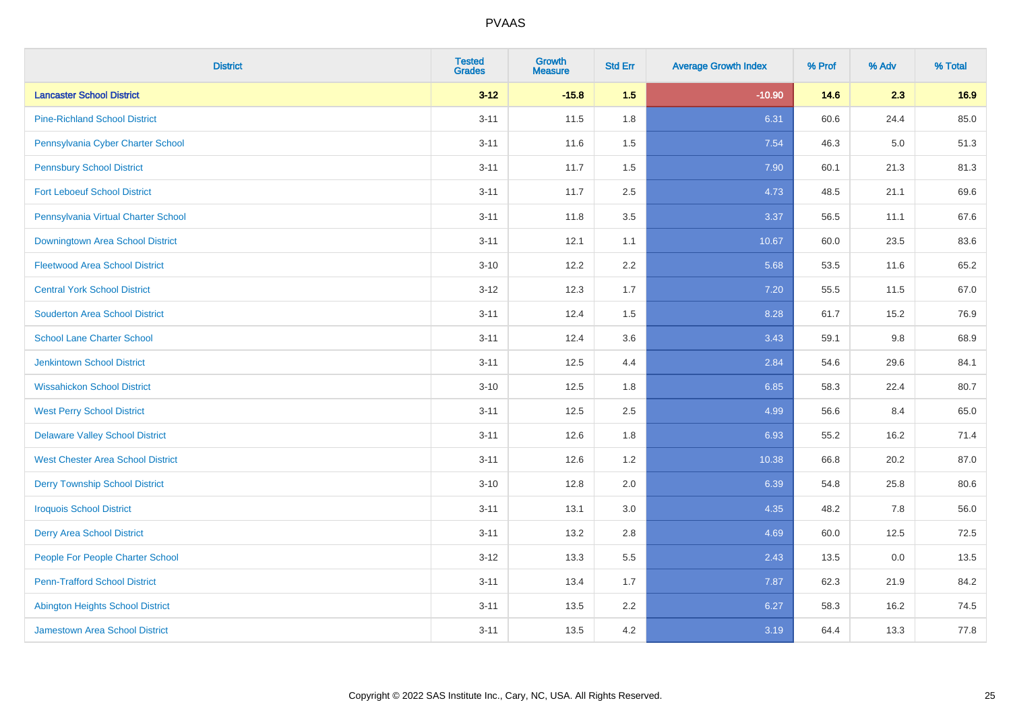| <b>District</b>                          | <b>Tested</b><br><b>Grades</b> | <b>Growth</b><br><b>Measure</b> | <b>Std Err</b> | <b>Average Growth Index</b> | % Prof | % Adv | % Total |
|------------------------------------------|--------------------------------|---------------------------------|----------------|-----------------------------|--------|-------|---------|
| <b>Lancaster School District</b>         | $3 - 12$                       | $-15.8$                         | 1.5            | $-10.90$                    | 14.6   | 2.3   | 16.9    |
| <b>Pine-Richland School District</b>     | $3 - 11$                       | 11.5                            | 1.8            | 6.31                        | 60.6   | 24.4  | 85.0    |
| Pennsylvania Cyber Charter School        | $3 - 11$                       | 11.6                            | 1.5            | 7.54                        | 46.3   | 5.0   | 51.3    |
| <b>Pennsbury School District</b>         | $3 - 11$                       | 11.7                            | 1.5            | 7.90                        | 60.1   | 21.3  | 81.3    |
| <b>Fort Leboeuf School District</b>      | $3 - 11$                       | 11.7                            | 2.5            | 4.73                        | 48.5   | 21.1  | 69.6    |
| Pennsylvania Virtual Charter School      | $3 - 11$                       | 11.8                            | 3.5            | 3.37                        | 56.5   | 11.1  | 67.6    |
| <b>Downingtown Area School District</b>  | $3 - 11$                       | 12.1                            | 1.1            | 10.67                       | 60.0   | 23.5  | 83.6    |
| <b>Fleetwood Area School District</b>    | $3 - 10$                       | 12.2                            | 2.2            | 5.68                        | 53.5   | 11.6  | 65.2    |
| <b>Central York School District</b>      | $3 - 12$                       | 12.3                            | 1.7            | 7.20                        | 55.5   | 11.5  | 67.0    |
| <b>Souderton Area School District</b>    | $3 - 11$                       | 12.4                            | 1.5            | 8.28                        | 61.7   | 15.2  | 76.9    |
| <b>School Lane Charter School</b>        | $3 - 11$                       | 12.4                            | 3.6            | 3.43                        | 59.1   | 9.8   | 68.9    |
| <b>Jenkintown School District</b>        | $3 - 11$                       | 12.5                            | 4.4            | 2.84                        | 54.6   | 29.6  | 84.1    |
| <b>Wissahickon School District</b>       | $3 - 10$                       | 12.5                            | 1.8            | 6.85                        | 58.3   | 22.4  | 80.7    |
| <b>West Perry School District</b>        | $3 - 11$                       | 12.5                            | 2.5            | 4.99                        | 56.6   | 8.4   | 65.0    |
| <b>Delaware Valley School District</b>   | $3 - 11$                       | 12.6                            | 1.8            | 6.93                        | 55.2   | 16.2  | 71.4    |
| <b>West Chester Area School District</b> | $3 - 11$                       | 12.6                            | 1.2            | 10.38                       | 66.8   | 20.2  | 87.0    |
| <b>Derry Township School District</b>    | $3 - 10$                       | 12.8                            | 2.0            | 6.39                        | 54.8   | 25.8  | 80.6    |
| <b>Iroquois School District</b>          | $3 - 11$                       | 13.1                            | 3.0            | 4.35                        | 48.2   | 7.8   | 56.0    |
| <b>Derry Area School District</b>        | $3 - 11$                       | 13.2                            | 2.8            | 4.69                        | 60.0   | 12.5  | 72.5    |
| People For People Charter School         | $3 - 12$                       | 13.3                            | 5.5            | 2.43                        | 13.5   | 0.0   | 13.5    |
| <b>Penn-Trafford School District</b>     | $3 - 11$                       | 13.4                            | 1.7            | 7.87                        | 62.3   | 21.9  | 84.2    |
| <b>Abington Heights School District</b>  | $3 - 11$                       | 13.5                            | 2.2            | 6.27                        | 58.3   | 16.2  | 74.5    |
| <b>Jamestown Area School District</b>    | $3 - 11$                       | 13.5                            | 4.2            | 3.19                        | 64.4   | 13.3  | 77.8    |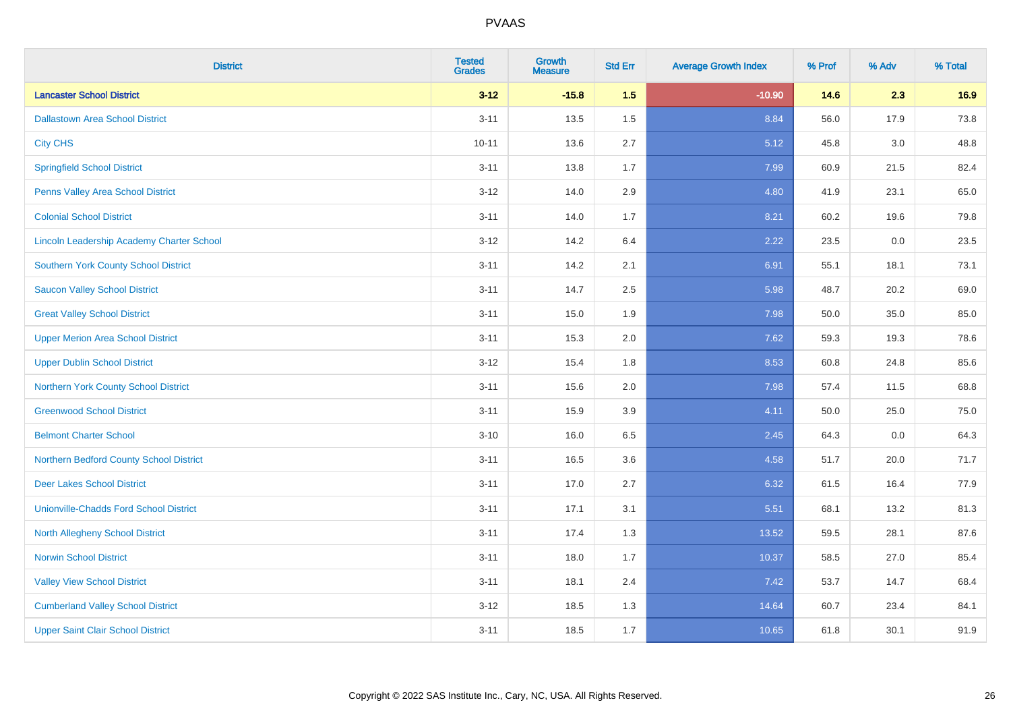| <b>District</b>                                  | <b>Tested</b><br><b>Grades</b> | <b>Growth</b><br><b>Measure</b> | <b>Std Err</b> | <b>Average Growth Index</b> | % Prof | % Adv | % Total |
|--------------------------------------------------|--------------------------------|---------------------------------|----------------|-----------------------------|--------|-------|---------|
| <b>Lancaster School District</b>                 | $3 - 12$                       | $-15.8$                         | 1.5            | $-10.90$                    | 14.6   | 2.3   | 16.9    |
| <b>Dallastown Area School District</b>           | $3 - 11$                       | 13.5                            | 1.5            | 8.84                        | 56.0   | 17.9  | 73.8    |
| <b>City CHS</b>                                  | $10 - 11$                      | 13.6                            | 2.7            | 5.12                        | 45.8   | 3.0   | 48.8    |
| <b>Springfield School District</b>               | $3 - 11$                       | 13.8                            | 1.7            | 7.99                        | 60.9   | 21.5  | 82.4    |
| Penns Valley Area School District                | $3 - 12$                       | 14.0                            | 2.9            | 4.80                        | 41.9   | 23.1  | 65.0    |
| <b>Colonial School District</b>                  | $3 - 11$                       | 14.0                            | 1.7            | 8.21                        | 60.2   | 19.6  | 79.8    |
| <b>Lincoln Leadership Academy Charter School</b> | $3 - 12$                       | 14.2                            | 6.4            | 2.22                        | 23.5   | 0.0   | 23.5    |
| <b>Southern York County School District</b>      | $3 - 11$                       | 14.2                            | 2.1            | 6.91                        | 55.1   | 18.1  | 73.1    |
| <b>Saucon Valley School District</b>             | $3 - 11$                       | 14.7                            | 2.5            | 5.98                        | 48.7   | 20.2  | 69.0    |
| <b>Great Valley School District</b>              | $3 - 11$                       | 15.0                            | 1.9            | 7.98                        | 50.0   | 35.0  | 85.0    |
| <b>Upper Merion Area School District</b>         | $3 - 11$                       | 15.3                            | 2.0            | 7.62                        | 59.3   | 19.3  | 78.6    |
| <b>Upper Dublin School District</b>              | $3 - 12$                       | 15.4                            | 1.8            | 8.53                        | 60.8   | 24.8  | 85.6    |
| Northern York County School District             | $3 - 11$                       | 15.6                            | 2.0            | 7.98                        | 57.4   | 11.5  | 68.8    |
| <b>Greenwood School District</b>                 | $3 - 11$                       | 15.9                            | 3.9            | 4.11                        | 50.0   | 25.0  | 75.0    |
| <b>Belmont Charter School</b>                    | $3 - 10$                       | 16.0                            | 6.5            | 2.45                        | 64.3   | 0.0   | 64.3    |
| Northern Bedford County School District          | $3 - 11$                       | 16.5                            | 3.6            | 4.58                        | 51.7   | 20.0  | 71.7    |
| <b>Deer Lakes School District</b>                | $3 - 11$                       | 17.0                            | 2.7            | 6.32                        | 61.5   | 16.4  | 77.9    |
| <b>Unionville-Chadds Ford School District</b>    | $3 - 11$                       | 17.1                            | 3.1            | 5.51                        | 68.1   | 13.2  | 81.3    |
| <b>North Allegheny School District</b>           | $3 - 11$                       | 17.4                            | 1.3            | 13.52                       | 59.5   | 28.1  | 87.6    |
| <b>Norwin School District</b>                    | $3 - 11$                       | 18.0                            | 1.7            | 10.37                       | 58.5   | 27.0  | 85.4    |
| <b>Valley View School District</b>               | $3 - 11$                       | 18.1                            | 2.4            | 7.42                        | 53.7   | 14.7  | 68.4    |
| <b>Cumberland Valley School District</b>         | $3 - 12$                       | 18.5                            | 1.3            | 14.64                       | 60.7   | 23.4  | 84.1    |
| <b>Upper Saint Clair School District</b>         | $3 - 11$                       | 18.5                            | 1.7            | 10.65                       | 61.8   | 30.1  | 91.9    |